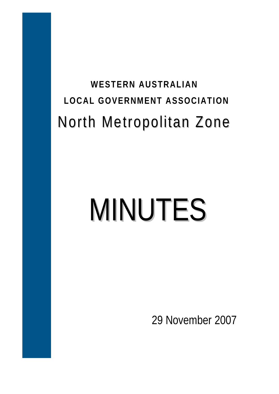# **WESTERN AUSTRALIAN LOCAL GOVERNMENT ASSOCIATION**  North Metropolitan Zone

# MINUTES

29 November 2007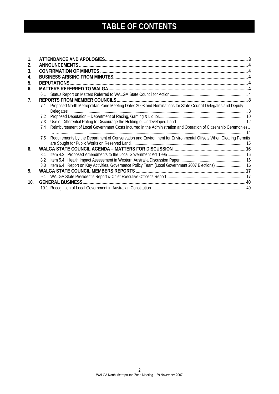# **TABLE OF CONTENTS**

| 2.          |     | <b>ANNOUNCEMENTS.</b>                                                                                          |      |
|-------------|-----|----------------------------------------------------------------------------------------------------------------|------|
| 3.          |     |                                                                                                                |      |
| 4.          |     |                                                                                                                |      |
| 5.          |     | DEPUTATIONS.                                                                                                   |      |
| 6.          |     |                                                                                                                |      |
|             |     |                                                                                                                |      |
| $7_{\cdot}$ |     |                                                                                                                |      |
|             | 7.1 | Proposed North Metropolitan Zone Meeting Dates 2008 and Nominations for State Council Delegates and Deputy     |      |
|             |     |                                                                                                                |      |
|             | 7.2 |                                                                                                                |      |
|             | 7.3 |                                                                                                                |      |
|             | 7.4 | Reimbursement of Local Government Costs Incurred in the Administration and Operation of Citizenship Ceremonies |      |
|             | 7.5 | Requirements by the Department of Conservation and Environment for Environmental Offsets When Clearing Permits | - 14 |
|             |     |                                                                                                                |      |
| 8.          |     |                                                                                                                |      |
|             | 8.1 |                                                                                                                |      |
|             | 8.2 |                                                                                                                |      |
|             | 8.3 | Item 6.4 Report on Key Activities, Governance Policy Team (Local Government 2007 Elections)  16                |      |
| 9.          |     |                                                                                                                |      |
|             | 9.1 |                                                                                                                |      |
| 10.         |     |                                                                                                                |      |
|             |     |                                                                                                                |      |
|             |     |                                                                                                                |      |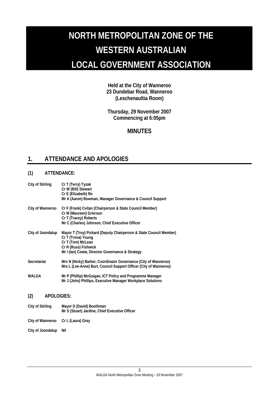# <span id="page-2-0"></span>**NORTH METROPOLITAN ZONE OF THE WESTERN AUSTRALIAN LOCAL GOVERNMENT ASSOCIATION**

**Held at the City of Wanneroo 23 Dundebar Road, Wanneroo (Leschenaultia Room)** 

**Thursday, 29 November 2007 Commencing at 6:05pm** 

# **MINUTES**

# **1. ATTENDANCE AND APOLOGIES**

# **(1) ATTENDANCE:**

| City of Stirling         | Cr T (Terry) Tyzak<br>Cr W (Bill) Stewart<br>Cr E (Elizabeth) Re<br>Mr A (Aaron) Bowman, Manager Governance & Council Support                                                             |
|--------------------------|-------------------------------------------------------------------------------------------------------------------------------------------------------------------------------------------|
| City of Wanneroo         | Cr F (Frank) Cvitan (Chairperson & State Council Member)<br>Cr M (Maureen) Grierson<br>Cr T (Tracey) Roberts<br>Mr C (Charles) Johnson, Chief Executive Officer                           |
| City of Joondalup        | Mayor T (Troy) Pickard (Deputy Chairperson & State Council Member)<br>Cr T (Trona) Young<br>Cr T (Tom) McLean<br>Cr R (Russ) Fishwick<br>Mr I (Ian) Cowie, Director Governance & Strategy |
| Secretariat              | Mrs N (Nicky) Barker, Coordinator Governance (City of Wanneroo)<br>Mrs L (Lee-Anne) Burt, Council Support Officer (City of Wanneroo)                                                      |
| WAI GA                   | Mr P (Phillip) McGuigan, ICT Policy and Programme Manager<br>Mr J (John) Phillips, Executive Manager Workplace Solutions                                                                  |
| (2)<br><b>APOLOGIES:</b> |                                                                                                                                                                                           |
| <b>City of Stirling</b>  | Mayor D (David) Boothman<br>Mr S (Stuart) Jardine, Chief Executive Officer                                                                                                                |
| City of Wanneroo         | Cr L (Laura) Gray                                                                                                                                                                         |

City of Joondalup Nil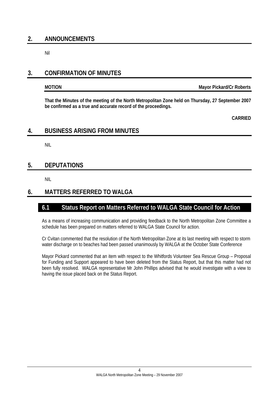# <span id="page-3-0"></span>**2. ANNOUNCEMENTS**

Nil

# **3. CONFIRMATION OF MINUTES**

**MOTION Mayor Pickard/Cr Roberts** 

**That the Minutes of the meeting of the North Metropolitan Zone held on Thursday, 27 September 2007 be confirmed as a true and accurate record of the proceedings.** 

**CARRIED** 

# **4. BUSINESS ARISING FROM MINUTES**

NIL

# **5. DEPUTATIONS**

NIL

# **6. MATTERS REFERRED TO WALGA**

# **6.1 Status Report on Matters Referred to WALGA State Council for Action**

As a means of increasing communication and providing feedback to the North Metropolitan Zone Committee a schedule has been prepared on matters referred to WALGA State Council for action.

Cr Cvitan commented that the resolution of the North Metropolitan Zone at its last meeting with respect to storm water discharge on to beaches had been passed unanimously by WALGA at the October State Conference

Mayor Pickard commented that an item with respect to the Whitfords Volunteer Sea Rescue Group – Proposal for Funding and Support appeared to have been deleted from the Status Report, but that this matter had not been fully resolved. WALGA representative Mr John Phillips advised that he would investigate with a view to having the issue placed back on the Status Report.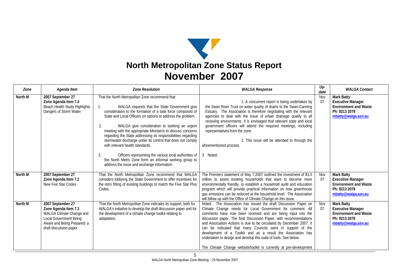

| Zone    | Agenda Item                                                                                                                                               | <b>Zone Resolution</b>                                                                                                                                                                                                                                                                                                                                                                                                                                                                                                                                                                                                                                                                                 | <b>WALGA Response</b>                                                                                                                                                                                                                                                                                                                                                                                                                                                                                                                                                                                               | $Up-$<br>date | <b>WALGA Contact</b>                                                                                                  |
|---------|-----------------------------------------------------------------------------------------------------------------------------------------------------------|--------------------------------------------------------------------------------------------------------------------------------------------------------------------------------------------------------------------------------------------------------------------------------------------------------------------------------------------------------------------------------------------------------------------------------------------------------------------------------------------------------------------------------------------------------------------------------------------------------------------------------------------------------------------------------------------------------|---------------------------------------------------------------------------------------------------------------------------------------------------------------------------------------------------------------------------------------------------------------------------------------------------------------------------------------------------------------------------------------------------------------------------------------------------------------------------------------------------------------------------------------------------------------------------------------------------------------------|---------------|-----------------------------------------------------------------------------------------------------------------------|
| North M | 2007 September 27<br>Zone Agenda item 7.4<br>Beach Health Study Highlights<br>Dangers of Storm Water                                                      | That the North Metropolitan Zone recommend that:<br>WALGA requests that the State Government give<br>1.<br>consideration to the formation of a task force composed of<br>State and Local Officers on options to address the problem.<br>WALGA give consideration to seeking an urgent<br>2.<br>meeting with the appropriate Minister/s to discuss concerns<br>regarding the State addressing its responsibilities regarding<br>stormwater discharge under its control that does not comply<br>with relevant health standards.<br>Officers representing the various local authorities of<br>3.<br>the North Metro Zone form an informal working group to<br>address the issue and exchange information. | 1. A concurrent report is being undertaken by<br>the Swan River Trust on water quality of drains to the Swan-Canning<br>Estuary. The Association is therefore negotiating with the relevant<br>agencies to deal with the issue of urban drainage quality to all<br>receiving environments. It is envisaged that relevant state and local<br>government officers will attend the required meetings, including<br>representatives from the zone.<br>2. This issue will be attended to through the<br>aforementioned process.<br>3. Noted.                                                                             | Nov<br>07     | Mark Batty<br><b>Executive Manager</b><br><b>Environment and Waste</b><br>Ph: 9213 2078<br>mbatty@walga.asn.au        |
| North M | 2007 September 27<br>Zone Agenda Item 7.2<br>New Five Star Codes                                                                                          | That the North Metropolitan Zone recommend that WALGA<br>considers lobbying the State Government to offer incentives for<br>the retro fitting of existing buildings to match the Five Star Plus<br>Codes.                                                                                                                                                                                                                                                                                                                                                                                                                                                                                              | The Premiers statement of May 7,2007 outlined the investment of \$1.5<br>million to assist existing households that want to become more<br>environmentally friendly, to establish a household audit and education<br>program which will provide practical information on how greenhouse<br>gas emissions can be reduced at the household level. The Association<br>will follow up with the Office of Climate Change on this issue.                                                                                                                                                                                  | Nov<br>07     | Mark Batty<br><b>Executive Manager</b><br><b>Environment and Waste</b><br>Ph: 9213 2078<br>mbatty@walqa.asn.au        |
| North M | 2007 September 27<br>Zone Agenda Item 7.3<br>WALGA Climate Change and<br>Local Government Being<br>Aware and Being Prepared: a<br>draft discussion paper. | That the North Metropolitan Zone indicates its support, both for<br>WALGA's initiative to develop the draft discussion paper and for<br>the development of a climate change toolkit relating to<br>adaptation.                                                                                                                                                                                                                                                                                                                                                                                                                                                                                         | Noted. The Association has issued the draft Discussion Paper on<br>Climate Change needs for Local Government for comment. All<br>comments have now been received and are being input into the<br>discussion paper. The final Discussion Paper, with recommendations<br>and Association Actions is due to be circulated by December 2007. It<br>can be indicated that many Councils were in support of the<br>development of a Toolkit and as a result the Association has<br>undertaken to design and develop this suite of tools. See below.<br>The Climate Change website/toolkit is currently at pre-development | Nov<br>07     | <b>Mark Batty</b><br><b>Executive Manager</b><br><b>Environment and Waste</b><br>Ph: 9213 2078<br>mbatty@walqa.asn.au |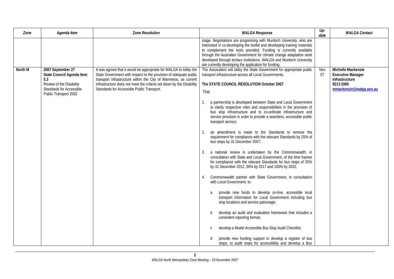| Agenda Item<br>Zone                                                                                                                                      | <b>Zone Resolution</b>                                                                                                                                                                                                                                                                                                           | <b>WALGA Response</b>                                                                                                                                                                                                                                                                                                                                                                                                                                                                                                                                                                                                                                                                                                                                                                                                                                                                                                                                                                                                                                                                                                                                                                                                                                                                                                                                                                                                                                                                                         |           | <b>WALGA Contact</b>                                                                                     |
|----------------------------------------------------------------------------------------------------------------------------------------------------------|----------------------------------------------------------------------------------------------------------------------------------------------------------------------------------------------------------------------------------------------------------------------------------------------------------------------------------|---------------------------------------------------------------------------------------------------------------------------------------------------------------------------------------------------------------------------------------------------------------------------------------------------------------------------------------------------------------------------------------------------------------------------------------------------------------------------------------------------------------------------------------------------------------------------------------------------------------------------------------------------------------------------------------------------------------------------------------------------------------------------------------------------------------------------------------------------------------------------------------------------------------------------------------------------------------------------------------------------------------------------------------------------------------------------------------------------------------------------------------------------------------------------------------------------------------------------------------------------------------------------------------------------------------------------------------------------------------------------------------------------------------------------------------------------------------------------------------------------------------|-----------|----------------------------------------------------------------------------------------------------------|
|                                                                                                                                                          |                                                                                                                                                                                                                                                                                                                                  | stage. Negotiations are progressing with Murdoch University, who are<br>interested in co-developing the toolkit and developing training materials<br>to complement the tools provided. Funding is currently available<br>through the Australian Government for climate change adaptation work<br>developed through tertiary institutions. WALGA and Murdoch University<br>are currently developing the application for funding.                                                                                                                                                                                                                                                                                                                                                                                                                                                                                                                                                                                                                                                                                                                                                                                                                                                                                                                                                                                                                                                                               |           |                                                                                                          |
| North M<br>2007 September 27<br>State Council Agenda Item<br>5.3<br>Review of the Disability<br><b>Standards for Accessible</b><br>Public Transport 2002 | It was agreed that it would be appropriate for WALGA to lobby the<br>State Government with respect to the provision of adequate public<br>transport infrastructure within the City of Wanneroo, as current<br>infrastructure does not meet the criteria set down by the Disability<br>Standards for Accessible Public Transport. | The Association will lobby the State Government for appropriate public<br>transport infrastructure across all Local Governments.<br>The STATE COUNCIL RESOLUTION October 2007<br>That:<br>1. a partnership is developed between State and Local Government<br>to clarify respective roles and responsibilities in the provision of<br>bus stop infrastructure and to co-ordinate infrastructure and<br>service provision in order to provide a seamless, accessible public<br>transport service;<br>an amendment is made to the Standards to remove the<br>2.<br>requirement for compliance with the relevant Standards by 25% of<br>bus stops by 31 December 2007;<br>3. a national review is undertaken by the Commonwealth, in<br>consultation with State and Local Government, of the time frames<br>for compliance with the relevant Standards for bus stops of 55%<br>by 31 December 2012, 90% by 2017 and 100% by 2032.<br>Commonwealth partner with State Government, in consultation<br>4.<br>with Local Government, to:<br>provide new funds to develop on-line, accessible local<br>a<br>transport information for Local Government including bus<br>stop locations and service patronage;<br>b<br>develop an audit and evaluation framework that includes a<br>consistent reporting format;<br>develop a Model Accessible Bus Stop Audit Checklist;<br>$\mathsf{C}$<br>provide new funding support to develop a register of bus<br>d<br>stops, to audit stops for accessibility and develop a Bus | Nov<br>07 | Michelle Mackenzie<br><b>Executive Manager</b><br>Infrastructure<br>9213 2065<br>mmackenzie@walqa.asn.au |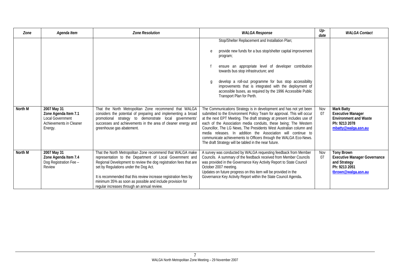| Zone    | Agenda Item                                                                    | <b>Zone Resolution</b>                                                                                                                                                                                                                                                                                                                                                                                               | <b>WALGA Response</b>                                                                                                                                                                                                                                                                                                                                                                                                                                                                                                         | $Up-$<br>date | <b>WALGA Contact</b>                                                                                             |
|---------|--------------------------------------------------------------------------------|----------------------------------------------------------------------------------------------------------------------------------------------------------------------------------------------------------------------------------------------------------------------------------------------------------------------------------------------------------------------------------------------------------------------|-------------------------------------------------------------------------------------------------------------------------------------------------------------------------------------------------------------------------------------------------------------------------------------------------------------------------------------------------------------------------------------------------------------------------------------------------------------------------------------------------------------------------------|---------------|------------------------------------------------------------------------------------------------------------------|
| North M | 2007 May 31                                                                    | That the North Metropolitan Zone recommend that WALGA                                                                                                                                                                                                                                                                                                                                                                | Stop/Shelter Replacement and Installation Plan;<br>provide new funds for a bus stop/shelter capital improvement<br>e<br>program;<br>ensure an appropriate level of developer contribution<br>towards bus stop infrastructure; and<br>develop a roll-out programme for bus stop accessibility<br>q<br>improvements that is integrated with the deployment of<br>accessible buses, as required by the 1996 Accessible Public<br>Transport Plan for Perth.<br>The Communications Strategy is in development and has not yet been | Nov           | Mark Batty                                                                                                       |
|         | Zone Agenda Item 7.1<br>Local Government<br>Achievements in Cleaner<br>Energy. | considers the potential of preparing and implementing a broad<br>promotional strategy to demonstrate local governments'<br>successes and achievements in the area of cleaner energy and<br>greenhouse gas abatement.                                                                                                                                                                                                 | submitted to the Environment Policy Team for approval. This will occur<br>at the next EPT Meeting. The draft strategy at present includes use of<br>each of the Association media conduits, these being; The Western<br>Councillor, The LG News, The Presidents West Australian column and<br>media releases. In addition the Association will continue to<br>communicate achievements to Officers through the WALGA Eco-News.<br>The draft Strategy will be tabled in the near future.                                       |               | <b>Executive Manager</b><br><b>Environment and Waste</b><br>Ph: 9213 2078<br>mbatty@walqa.asn.au                 |
| North M | 2007 May 31<br>Zone Agenda Item 7.4<br>Dog Registration Fee -<br>Review        | That the North Metropolitan Zone recommend that WALGA make<br>representation to the Department of Local Government and<br>Regional Development to review the dog registration fees that are<br>set by Regulations under the Dog Act.<br>It is recommended that this review increase registration fees by<br>minimum 35% as soon as possible and include provision for<br>regular increases through an annual review. | A survey was conducted by WALGA requesting feedback from Member<br>Councils. A summary of the feedback received from Member Councils<br>was provided in the Governance Key Activity Report to State Council<br>October 2007 meeting.<br>Updates on future progress on this item will be provided in the<br>Governance Key Activity Report within the State Council Agenda.                                                                                                                                                    | Nov<br>07     | <b>Tony Brown</b><br><b>Executive Manager Governance</b><br>and Strategy<br>Ph: 9213 2051<br>tbrown@walga.asn.au |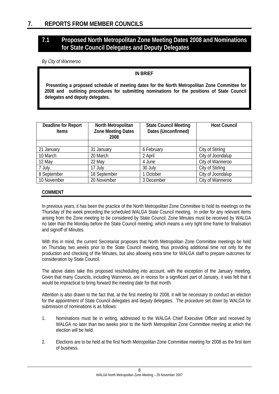# <span id="page-7-0"></span>**7.1 Proposed North Metropolitan Zone Meeting Dates 2008 and Nominations for State Council Delegates and Deputy Delegates**

*By City of Wanneroo* 

# **IN BRIEF**

 **Presenting a proposed schedule of meeting dates for the North Metropolitan Zone Committee for 2008 and outlining procedures for submitting nominations for the positions of State Council delegates and deputy delegates.**

| Deadline for Report<br><b>Items</b> | North Metropolitan<br><b>Zone Meeting Dates</b><br>2008 | <b>State Council Meeting</b><br>Dates (Unconfirmed) | <b>Host Council</b> |
|-------------------------------------|---------------------------------------------------------|-----------------------------------------------------|---------------------|
|                                     |                                                         |                                                     |                     |
| 21 January                          | 31 January                                              | 6 February                                          | City of Stirling    |
| 10 March                            | 20 March                                                | 2 April                                             | City of Joondalup   |
| 12 May                              | 22 May                                                  | 4 June                                              | City of Wanneroo    |
| 7 July                              | 17 July                                                 | 30 July                                             | City of Stirling    |
| 8 September                         | 18 September                                            | 1 October                                           | City of Joondalup   |
| 10 November                         | 20 November                                             | 3 December                                          | City of Wanneroo    |

# **COMMENT**

In previous years, it has been the practice of the North Metropolitan Zone Committee to hold its meetings on the Thursday of the week preceding the scheduled WALGA State Council meeting. In order for any relevant items arising from the Zone meeting to be considered by State Council, Zone Minutes must be received by WALGA no later than the Monday before the State Council meeting, which means a very tight time frame for finalisation and signoff of Minutes.

With this in mind, the current Secretariat proposes that North Metropolitan Zone Committee meetings be held on Thursday two weeks prior to the State Council meeting, thus providing additional time not only for the production and checking of the Minutes, but also allowing extra time for WALGA staff to prepare outcomes for consideration by State Council.

The above dates take this proposed rescheduling into account, with the exception of the January meeting. Given that many Councils, including Wanneroo, are in recess for a significant part of January, it was felt that it would be impractical to bring forward the meeting date for that month.

Attention is also drawn to the fact that, at the first meeting for 2008, it will be necessary to conduct an election for the appointment of State Council delegates and deputy delegates. The procedure set down by WALGA for submission of nominations is as follows:

- 1. Nominations must be in writing, addressed to the WALGA Chief Executive Officer and received by WALGA no later than two weeks prior to the North Metropolitan Zone Committee meeting at which the election will be held.
- 2. Elections are to be held at the first North Metropolitan Zone Committee meeting for 2008 as the first item of business.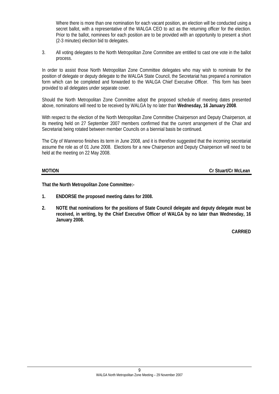Where there is more than one nomination for each vacant position, an election will be conducted using a secret ballot, with a representative of the WALGA CEO to act as the returning officer for the election. Prior to the ballot, nominees for each position are to be provided with an opportunity to present a short (2-3 minutes) election bid to delegates.

3. All voting delegates to the North Metropolitan Zone Committee are entitled to cast one vote in the ballot process.

In order to assist those North Metropolitan Zone Committee delegates who may wish to nominate for the position of delegate or deputy delegate to the WALGA State Council, the Secretariat has prepared a nomination form which can be completed and forwarded to the WALGA Chief Executive Officer. This form has been provided to all delegates under separate cover.

Should the North Metropolitan Zone Committee adopt the proposed schedule of meeting dates presented above, nominations will need to be received by WALGA by no later than **Wednesday, 16 January 2008**.

With respect to the election of the North Metropolitan Zone Committee Chairperson and Deputy Chairperson, at its meeting held on 27 September 2007 members confirmed that the current arrangement of the Chair and Secretariat being rotated between member Councils on a biennial basis be continued.

The City of Wanneroo finishes its term in June 2008, and it is therefore suggested that the incoming secretariat assume the role as of 01 June 2008. Elections for a new Chairperson and Deputy Chairperson will need to be held at the meeting on 22 May 2008.

**MOTION Cr Stuart/Cr McLean** 

**That the North Metropolitan Zone Committee:-** 

- **1. ENDORSE the proposed meeting dates for 2008.**
- **2. NOTE that nominations for the positions of State Council delegate and deputy delegate must be received, in writing, by the Chief Executive Officer of WALGA by no later than Wednesday, 16 January 2008.**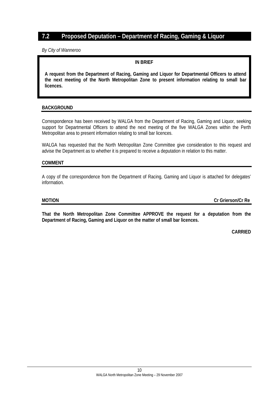# <span id="page-9-0"></span>**7.2 Proposed Deputation – Department of Racing, Gaming & Liquor**

*By City of Wanneroo* 

# **IN BRIEF**

 **A request from the Department of Racing, Gaming and Liquor for Departmental Officers to attend the next meeting of the North Metropolitan Zone to present information relating to small bar licences.**

# **BACKGROUND**

Correspondence has been received by WALGA from the Department of Racing, Gaming and Liquor, seeking support for Departmental Officers to attend the next meeting of the five WALGA Zones within the Perth Metropolitan area to present information relating to small bar licences.

WALGA has requested that the North Metropolitan Zone Committee give consideration to this request and advise the Department as to whether it is prepared to receive a deputation in relation to this matter.

# **COMMENT**

A copy of the correspondence from the Department of Racing, Gaming and Liquor is attached for delegates' information.

**MOTION Cr Grierson/Cr Re** 

**That the North Metropolitan Zone Committee APPROVE the request for a deputation from the Department of Racing, Gaming and Liquor on the matter of small bar licences.**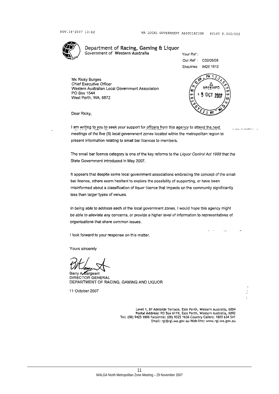

Department of Racing, Gaming & Liquor Government of Western Australia

Your Ref: Our Ref : C02/06/08 Enquiries: 9425 1812

Ms Ricky Burges Chief Executive Officer Western Australian Local Government Association PO Box 1544 West Perth, WA, 6872



Dear Ricky,

I am writing to you to seek your support for officers from this agency to attend the next meetings of the five (5) local government zones located within the metropolitan region to present information relating to small bar licences to members.

The small bar licence category is one of the key reforms to the Liquor Control Act 1988 that the State Government introduced in May 2007.

It appears that despite some local government associations embracing the concept of the small bar licence, others seem hesitant to explore the possibility of supporting, or have been misinformed about a classification of liquor licence that impacts on the community significantly less than larger types of venues.

In being able to address each of the local government zones, I would hope this agency might be able to alleviate any concerns, or provide a higher level of information to representatives of organisations that share common issues.

I look forward to your response on this matter.

Yours sincerely

Barry A Sargeant DIRECTOR GENERAL DEPARTMENT OF RACING, GAMING AND LIQUOR

11 October 2007

Level 1, 87 Adelaide Terrace, East Perth, Western Australia, 6004 Postal Address: PO Box 6119, East Perth, Western Australia, 6892<br>Tel: (08) 9425 1888 Facsimile: (08) 9325 1636 Country Callers: 1800 634 541 Email: rgl@rgl.wa.gov.au Web Site: www.rgl.wa.gov.au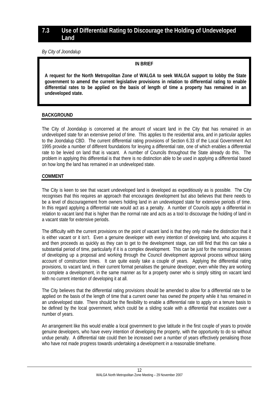# <span id="page-11-0"></span>**7.3 Use of Differential Rating to Discourage the Holding of Undeveloped Land**

*By City of Joondalup* 

# **IN BRIEF**

 **A request for the North Metropolitan Zone of WALGA to seek WALGA support to lobby the State government to amend the current legislative provisions in relation to differential rating to enable differential rates to be applied on the basis of length of time a property has remained in an undeveloped state.**

# **BACKGROUND**

The City of Joondalup is concerned at the amount of vacant land in the City that has remained in an undeveloped state for an extensive period of time. This applies to the residential area, and in particular applies to the Joondalup CBD. The current differential rating provisions of Section 6.33 of the Local Government Act 1995 provide a number of different foundations for levying a differential rate, one of which enables a differential rate to be levied on land that is vacant. A number of Councils throughout the State already do this. The problem in applying this differential is that there is no distinction able to be used in applying a differential based on how long the land has remained in an undeveloped state.

# **COMMENT**

The City is keen to see that vacant undeveloped land is developed as expeditiously as is possible. The City recognises that this requires an approach that encourages development but also believes that there needs to be a level of discouragement from owners holding land in an undeveloped state for extensive periods of time. In this regard applying a differential rate would act as a penalty. A number of Councils apply a differential in relation to vacant land that is higher than the normal rate and acts as a tool to discourage the holding of land in a vacant state for extensive periods.

The difficulty with the current provisions on the point of vacant land is that they only make the distinction that it is either vacant or it isn't. Even a genuine developer with every intention of developing land, who acquires it and then proceeds as quickly as they can to get to the development stage, can still find that this can take a substantial period of time, particularly if it is a complex development. This can be just for the normal processes of developing up a proposal and working through the Council development approval process without taking account of construction times. It can quite easily take a couple of years. Applying the differential rating provisions, to vacant land, in their current format penalises the genuine developer, even while they are working to complete a development, in the same manner as for a property owner who is simply sitting on vacant land with no current intention of developing it at all.

The City believes that the differential rating provisions should be amended to allow for a differential rate to be applied on the basis of the length of time that a current owner has owned the property while it has remained in an undeveloped state. There should be the flexibility to enable a differential rate to apply on a tenure basis to be defined by the local government, which could be a sliding scale with a differential that escalates over a number of years.

An arrangement like this would enable a local government to give latitude in the first couple of years to provide genuine developers, who have every intention of developing the property, with the opportunity to do so without undue penalty. A differential rate could then be increased over a number of years effectively penalising those who have not made progress towards undertaking a development in a reasonable timeframe.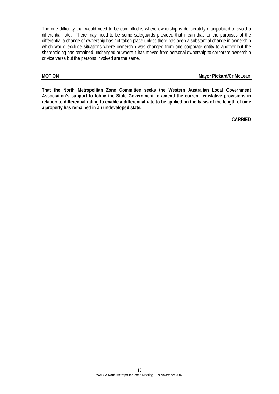The one difficulty that would need to be controlled is where ownership is deliberately manipulated to avoid a differential rate. There may need to be some safeguards provided that mean that for the purposes of the differential a change of ownership has not taken place unless there has been a substantial change in ownership which would exclude situations where ownership was changed from one corporate entity to another but the shareholding has remained unchanged or where it has moved from personal ownership to corporate ownership or vice versa but the persons involved are the same.

# **MOTION Mayor Pickard/Cr McLean**

**That the North Metropolitan Zone Committee seeks the Western Australian Local Government Association's support to lobby the State Government to amend the current legislative provisions in relation to differential rating to enable a differential rate to be applied on the basis of the length of time a property has remained in an undeveloped state.**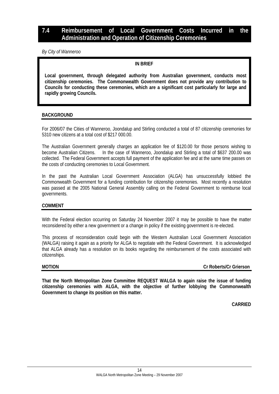# <span id="page-13-0"></span>**7.4 Reimbursement of Local Government Costs Incurred in the Administration and Operation of Citizenship Ceremonies**

*By City of Wanneroo* 

# **IN BRIEF**

 **Local government, through delegated authority from Australian government, conducts most citizenship ceremonies. The Commonwealth Government does not provide any contribution to Councils for conducting these ceremonies, which are a significant cost particularly for large and rapidly growing Councils.**

# **BACKGROUND**

For 2006/07 the Cities of Wanneroo, Joondalup and Stirling conducted a total of 87 citizenship ceremonies for 5310 new citizens at a total cost of \$217 000.00.

The Australian Government generally charges an application fee of \$120.00 for those persons wishing to become Australian Citizens. In the case of Wanneroo, Joondalup and Stirling a total of \$637 200.00 was collected. The Federal Government accepts full payment of the application fee and at the same time passes on the costs of conducting ceremonies to Local Government.

In the past the Australian Local Government Association (ALGA) has unsuccessfully lobbied the Commonwealth Government for a funding contribution for citizenship ceremonies. Most recently a resolution was passed at the 2005 National General Assembly calling on the Federal Government to reimburse local governments.

# **COMMENT**

With the Federal election occurring on Saturday 24 November 2007 it may be possible to have the matter reconsidered by either a new government or a change in policy if the existing government is re-elected.

This process of reconsideration could begin with the Western Australian Local Government Association (WALGA) raising it again as a priority for ALGA to negotiate with the Federal Government. It is acknowledged that ALGA already has a resolution on its books regarding the reimbursement of the costs associated with citizenships.

**MOTION Cr Roberts/Cr Grierson** 

**That the North Metropolitan Zone Committee REQUEST WALGA to again raise the issue of funding citizenship ceremonies with ALGA, with the objective of further lobbying the Commonwealth Government to change its position on this matter.**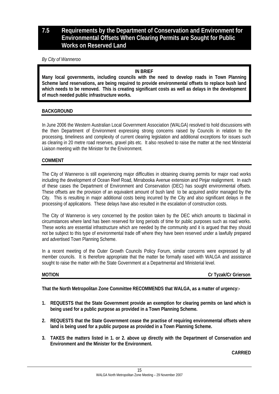# <span id="page-14-0"></span>**7.5 Requirements by the Department of Conservation and Environment for Environmental Offsets When Clearing Permits are Sought for Public Works on Reserved Land**

*By City of Wanneroo* 

# **IN BRIEF**

**Many local governments, including councils with the need to develop roads in Town Planning Scheme land reservations, are being required to provide environmental offsets to replace bush land which needs to be removed. This is creating significant costs as well as delays in the development of much needed public infrastructure works.** 

# **BACKGROUND**

In June 2006 the Western Australian Local Government Association (WALGA) resolved to hold discussions with the then Department of Environment expressing strong concerns raised by Councils in relation to the processing, timeliness and complexity of current clearing legislation and additional exceptions for issues such as clearing in 20 metre road reserves, gravel pits etc. It also resolved to raise the matter at the next Ministerial Liaison meeting with the Minister for the Environment.

# **COMMENT**

The City of Wanneroo is still experiencing major difficulties in obtaining clearing permits for major road works including the development of Ocean Reef Road, Mirrabooka Avenue extension and Pinjar realignment. In each of these cases the Department of Environment and Conservation (DEC) has sought environmental offsets. These offsets are the provision of an equivalent amount of bush land to be acquired and/or managed by the City. This is resulting in major additional costs being incurred by the City and also significant delays in the processing of applications. These delays have also resulted in the escalation of construction costs.

The City of Wanneroo is very concerned by the position taken by the DEC which amounts to blackmail in circumstances where land has been reserved for long periods of time for public purposes such as road works. These works are essential infrastructure which are needed by the community and it is argued that they should not be subject to this type of environmental trade off where they have been reserved under a lawfully prepared and advertised Town Planning Scheme.

In a recent meeting of the Outer Growth Councils Policy Forum, similar concerns were expressed by all member councils. It is therefore appropriate that the matter be formally raised with WALGA and assistance sought to raise the matter with the State Government at a Departmental and Ministerial level.

**MOTION Cr Tyzak/Cr Grierson** 

**That the North Metropolitan Zone Committee RECOMMENDS that WALGA, as a matter of urgency:-** 

- **1. REQUESTS that the State Government provide an exemption for clearing permits on land which is being used for a public purpose as provided in a Town Planning Scheme.**
- **2. REQUESTS that the State Government cease the practise of requiring environmental offsets where land is being used for a public purpose as provided in a Town Planning Scheme.**
- **3. TAKES the matters listed in 1. or 2. above up directly with the Department of Conservation and Environment and the Minister for the Environment.**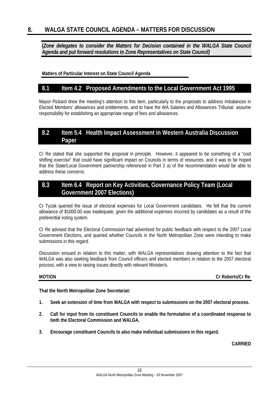<span id="page-15-0"></span>**(***Zone delegates to consider the Matters for Decision contained in the WALGA State Council Agenda and put forward resolutions to Zone Representatives on State Council)*

**Matters of Particular Interest on State Council Agenda** 

# **8.1 Item 4.2 Proposed Amendments to the Local Government Act 1995**

Mayor Pickard drew the meeting's attention to this item, particularly to the proposals to address imbalances in Elected Members' allowances and entitlements, and to have the WA Salaries and Allowances Tribunal assume responsibility for establishing an appropriate range of fees and allowances.

# **8.2 Item 5.4 Health Impact Assessment in Western Australia Discussion Paper**

Cr Re stated that she supported the proposal in principle. However, it appeared to be something of a "cost shifting exercise" that could have significant impact on Councils in terms of resources, and it was to be hoped that the State/Local Government partnership referenced in Part 2 a) of the recommendation would be able to address these concerns.

# **8.3 Item 6.4 Report on Key Activities, Governance Policy Team (Local Government 2007 Elections)**

Cr Tyzak queried the issue of electoral expenses for Local Government candidates. He felt that the current allowance of \$1000.00 was inadequate, given the additional expenses incurred by candidates as a result of the preferential voting system.

Cr Re advised that the Electoral Commission had advertised for public feedback with respect to the 2007 Local Government Elections, and queried whether Councils in the North Metropolitan Zone were intending to make submissions in this regard.

Discussion ensued in relation to this matter, with WALGA representatives drawing attention to the fact that WALGA was also seeking feedback from Council officers and elected members in relation to the 2007 electoral process, with a view to raising issues directly with relevant Minister/s.

**MOTION** Cr Roberts/Cr Re

**That the North Metropolitan Zone Secretariat:** 

- **1. Seek an extension of time from WALGA with respect to submissions on the 2007 electoral process.**
- **2. Call for input from its constituent Councils to enable the formulation of a coordinated response to both the Electoral Commission and WALGA.**
- **3. Encourage constituent Councils to also make individual submissions in this regard.**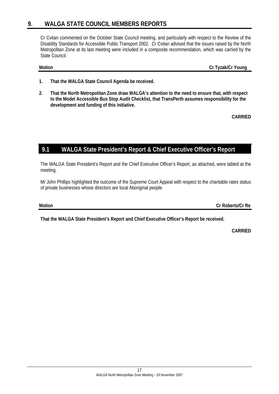# <span id="page-16-0"></span>**9. WALGA STATE COUNCIL MEMBERS REPORTS**

Cr Cvitan commented on the October State Council meeting, and particularly with respect to the Review of the Disability Standards for Accessible Public Transport 2002. Cr Cvitan advised that the issues raised by the North Metropolitan Zone at its last meeting were included in a composite recommendation, which was carried by the State Council.

**Motion Cr Tyzak/Cr Young** 

- **1. That the WALGA State Council Agenda be received.**
- **2. That the North Metropolitan Zone draw WALGA's attention to the need to ensure that, with respect to the Model Accessible Bus Stop Audit Checklist, that TransPerth assumes responsibility for the development and funding of this initiative.**

**CARRIED** 

# **9.1 WALGA State President's Report & Chief Executive Officer's Report**

The WALGA State President's Report and the Chief Executive Officer's Report, as attached, were tabled at the meeting.

Mr John Phillips highlighted the outcome of the Supreme Court Appeal with respect to the charitable rates status of private businesses whose directors are local Aboriginal people.

**Motion Cr Roberts/Cr Re** 

**That the WALGA State President's Report and Chief Executive Officer's Report be received.**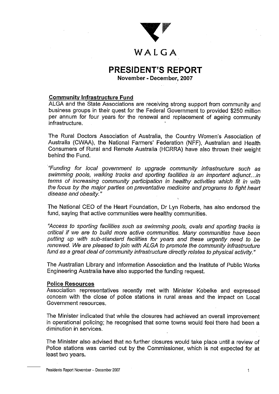

# WALGA

# **PRESIDENT'S REPORT**

November - December, 2007

# **Community Infrastructure Fund**

ALGA and the State Associations are receiving strong support from community and business groups in their quest for the Federal Government to provided \$250 million per annum for four years for the renewal and replacement of ageing community infrastructure.

The Rural Doctors Association of Australia, the Country Women's Association of Australia (CWAA), the National Farmers' Federation (NFF), Australian and Health Consumers of Rural and Remote Australia (HCRRA) have also thrown their weight behind the Fund.

"Funding for local government to upgrade community infrastructure such as swimming pools, walking tracks and sporting facilities is an important adjunct...in terms of increasing community participation in healthy activities which fit in with the focus by the major parties on preventative medicine and programs to fight heart disease and obesity."

The National CEO of the Heart Foundation, Dr Lyn Roberts, has also endorsed the fund, saying that active communities were healthy communities.

"Access to sporting facilities such as swimming pools, ovals and sporting tracks is critical if we are to build more active communities. Many communities have been putting up with sub-standard facilities for years and these urgently need to be renewed. We are pleased to join with ALGA to promote the community infrastructure fund as a great deal of community infrastructure directly relates to physical activity."

The Australian Library and Information Association and the Institute of Public Works Engineering Australia have also supported the funding request.

# **Police Resources**

Association representatives recently met with Minister Kobelke and expressed concern with the close of police stations in rural areas and the impact on Local Government resources.

The Minister indicated that while the closures had achieved an overall improvement in operational policing; he recognised that some towns would feel there had been a diminution in services.

The Minister also advised that no further closures would take place until a review of Police stations was carried out by the Commissioner, which is not expected for at least two years.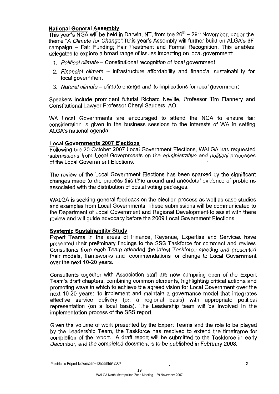# **National General Assembly**

This year's NGA will be held in Darwin, NT, from the  $26<sup>th</sup> - 29<sup>th</sup>$  November, under the theme "A Climate for Change". Tthis vear's Assembly will further build on ALGA's 3F campaign - Fair Funding: Fair Treatment and Formal Recognition. This enables delegates to explore a broad range of issues impacting on local government:

- 1. Political climate Constitutional recognition of local government
- 2. Financial climate infrastructure affordability and financial sustainability for local government
- 3. Natural climate climate change and its implications for local government

Speakers include prominent futurist Richard Neville, Professor Tim Flannery and Constitutional Lawyer Professor Cheryl Sauders, AO.

WA Local Governments are encouraged to attend the NGA to ensure fair consideration is given in the business sessions to the interests of WA in setting ALGA's national agenda.

# **Local Governments 2007 Elections**

Following the 20 October 2007 Local Government Elections, WALGA has requested submissions from Local Governments on the administrative and political processes of the Local Government Elections.

The review of the Local Government Elections has been sparked by the significant changes made to the process this time around and anecdotal evidence of problems associated with the distribution of postal voting packages.

WALGA is seeking general feedback on the election process as well as case studies and examples from Local Governments. These submissions will be communicated to the Department of Local Government and Regional Development to assist with there review and will quide advocacy before the 2009 Local Government Elections.

# **Systemic Sustainability Study**

Expert Teams in the areas of Finance, Revenue, Expertise and Services have presented their preliminary findings to the SSS Taskforce for comment and review. Consultants from each Team attended the latest Taskforce meeting and presented their models, frameworks and recommendations for change to Local Government over the next 10-20 years.

Consultants together with Association staff are now compiling each of the Expert Team's draft chapters, combining common elements, highlighting critical actions and promoting ways in which to achieve the agreed vision for Local Government over the next 10-20 years: 'to implement and maintain a governance model that integrates effective service delivery (on a regional basis) with appropriate political representation (on a local basis). The Leadership team will be involved in the implementation process of the SSS report.

Given the volume of work presented by the Expert Teams and the role to be played by the Leadership Team, the Taskforce has resolved to extend the timeframe for completion of the report. A draft report will be submitted to the Taskforce in early December, and the completed document is to be published in February 2008.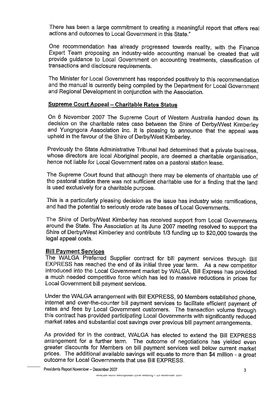There has been a large commitment to creating a meaningful report that offers real actions and outcomes to Local Government in this State."

One recommendation has already progressed towards reality, with the Finance Expert Team proposing an industry-wide accounting manual be created that will provide guidance to Local Government on accounting treatments, classification of transactions and disclosure requirements.

The Minister for Local Government has responded positively to this recommendation and the manual is currently being compiled by the Department for Local Government and Regional Development in conjunction with the Association.

# **Supreme Court Appeal - Charitable Rates Status**

On 6 November 2007 The Supreme Court of Western Australia handed down its decision on the charitable rates case between the Shire of Derby/West Kimberley and Yungngora Association Inc. It is pleasing to announce that the appeal was upheld in the favour of the Shire of Derby/West Kimberley.

Previously the State Administrative Tribunal had determined that a private business. whose directors are local Aboriginal people, are deemed a charitable organisation. hence not liable for Local Government rates on a pastoral station lease.

The Supreme Court found that although there may be elements of charitable use of the pastoral station there was not sufficient charitable use for a finding that the land is used exclusively for a charitable purpose.

This is a particularly pleasing decision as the issue has industry wide ramifications. and had the potential to seriously erode rate bases of Local Governments.

The Shire of Derby/West Kimberley has received support from Local Governments around the State. The Association at its June 2007 meeting resolved to support the Shire of Derby/West Kimberley and contribute 1/3 funding up to \$20,000 towards the legal appeal costs.

# **Bill Payment Services**

The WALGA Preferred Supplier contract for bill payment services through Bill EXPRESS has reached the end of its initial three year term. As a new competitor introduced into the Local Government market by WALGA, Bill Express has provided a much needed competitive force which has led to massive reductions in prices for Local Government bill payment services.

Under the WALGA arrangement with Bill EXPRESS, 90 Members established phone. internet and over-the-counter bill payment services to facilitate efficient payment of rates and fees by Local Government customers. The transaction volume through this contract has provided participating Local Governments with significantly reduced market rates and substantial cost savings over previous bill payment arrangements.

As provided for in the contract, WALGA has elected to extend the Bill EXPRESS arrangement for a further term. The outcome of negotiations has yielded even greater discounts for Members on bill payment services well below current market prices. The additional available savings will equate to more than \$4 million - a great outcome for Local Governments that use Bill EXPRESS.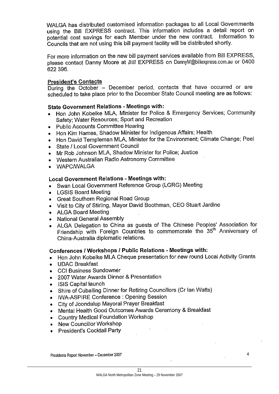WALGA has distributed customised information packages to all Local Governments using the Bill EXPRESS contract. This information includes a detail report on potential cost savings for each Member under the new contract. Information to Councils that are not using this bill payment facility will be distributed shortly.

For more information on the new bill payment services available from Bill EXPRESS. please contact Danny Moore at Bill EXPRESS on DannyM@billexpress.com.au or 0400 622 396.

# **President's Contacts**

During the October - December period, contacts that have occurred or are scheduled to take place prior to the December State Council meeting are as follows:

# **State Government Relations - Meetings with:**

- Hon John Kobelke MLA, Minister for Police & Emergency Services; Community Safety; Water Resources; Sport and Recreation
- Public Accounts Committee Hearing
- Hon Kim Hames, Shadow Minister for Indigenous Affairs; Health  $\bullet$
- Hon David Templeman MLA, Minister for the Environment; Climate Change; Peel  $\bullet$
- State / Local Government Council
- Mr Rob Johnson MLA, Shadow Minister for Police; Justice  $\bullet$
- Western Australian Radio Astronomy Committee
- WAPC/WALGA

# **Local Government Relations - Meetings with:**

- Swan Local Government Reference Group (LGRG) Meeting
- LGSIS Board Meeting
- Great Southern Regional Road Group
- Visit to City of Stirling, Mayor David Boothman, CEO Stuart Jardine
- ALGA Board Meeting
- National General Assembly
- ALGA Delegation to China as guests of The Chinese Peoples' Association for Friendship with Foreign Countries to commemorate the 35<sup>th</sup> Anniversary of China-Australia diplomatic relations.

# Conferences / Workshops / Public Relations - Meetings with:

- Hon John Kobelke MLA Cheque presentation for new round Local Activity Grants
- **UDAC Breakfast**  $\bullet$
- **CCI Business Sundowner**  $\bullet$
- 2007 Water Awards Dinner & Presentation  $\bullet$
- **ISIS Capital launch**  $\bullet$
- Shire of Cuballing Dinner for Retiring Councillors (Cr Ian Watts)  $\bullet$
- IWA-ASPIRE Conference : Opening Session  $\bullet$
- City of Joondalup Mayoral Prayer Breakfast  $\bullet$
- Mental Health Good Outcomes Awards Ceremony & Breakfast  $\bullet$
- **Country Medical Foundation Workshop**  $\bullet$
- New Councillor Workshop
- President's Cocktail Party

Presidents Report November - December 2007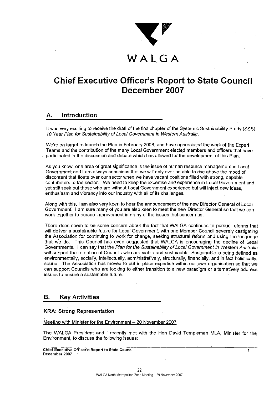

# WALGA

# **Chief Executive Officer's Report to State Council** December 2007

### Introduction А.

It was very exciting to receive the draft of the first chapter of the Systemic Sustainability Study (SSS) 10 Year Plan for Sustainability of Local Government in Western Australia.

We're on target to launch the Plan in February 2008, and have appreciated the work of the Expert Teams and the contribution of the many Local Government elected members and officers that have participated in the discussion and debate which has allowed for the development of this Plan.

As you know, one area of great significance is the issue of human resource management in Local Government and I am always conscious that we will only ever be able to rise above the mood of discontent that floats over our sector when we have vacant positions filled with strong, capable contributors to the sector. We need to keep the expertise and experience in Local Government and vet still seek out those who are without Local Government experience but will inject new ideas. enthusiasm and vibrancy into our industry with all of its challenges.

Along with this, I am also very keen to hear the announcement of the new Director General of Local Government. I am sure many of you are also keen to meet the new Director General so that we can work together to pursue improvement in many of the issues that concern us.

There does seem to be some concern about the fact that WALGA continues to pursue reforms that will deliver a sustainable future for Local Government, with one Member Council severely castigating the Association for continuing to work for change, seeking structural reform and using the language that we do. This Council has even suggested that WALGA is encouraging the decline of Local Governments. I can say that the Plan for the Sustainability of Local Government in Western Australia will support the retention of Councils who are viable and sustainable. Sustainable is being defined as environmentally, socially, intellectually, administratively, structurally, financially, and in fact holistically, sound. The Association has moved to put in place expertise within our own organisation so that we can support Councils who are looking to either transition to a new paradigm or alternatively address issues to ensure a sustainable future.

### **Key Activities** В.

# **KRA: Strong Representation**

Meeting with Minister for the Environment - 20 November 2007

The WALGA President and I recently met with the Hon David Templeman MLA, Minister for the Environment, to discuss the following issues:

Chief Executive Officer's Report to State Council December 2007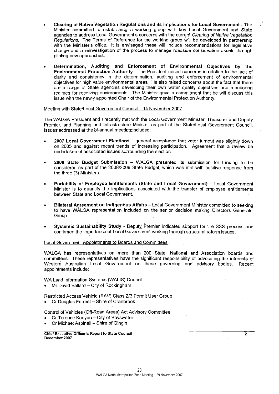- Clearing of Native Vegetation Regulations and its implications for Local Government The Minister committed to establishing a working group with key Local Government and State agencies to address Local Government's concerns with the current Clearing of Native Vegetation Requiations. The Terms of Reference for the working group will be developed in partnership with the Minister's office. It is envisaged these will include recommendations for legislative change and a reinvestigation of the process to manage roadside conservation assets through piloting new approaches.
- Determination, Auditing and Enforcement of Environmental Objectives by the Environmental Protection Authority - The President raised concerns in relation to the lack of clarity and consistency in the determination, auditing and enforcement of environmental objectives for high value environmental areas. He also raised concerns about the fact that there are a range of State agencies developing their own water quality objectives and monitoring regimes for receiving environments. The Minister gave a commitment that he will discuss this issue with the newly appointed Chair of the Environmental Protection Authority.

Meeting with State/Local Government Council - 14 November 2007

The WALGA President and I recently met with the Local Government Minister, Treasurer and Deputy Premier, and Planning and Infrastructure Minister as part of the State/Local Government Council. Issues addressed at the bi-annual meeting included:

- 2007 Local Government Elections general acceptance that voter turnout was slightly down on 2005 and against recent trends of increasing participation. Agreement that a review be undertaken of associated issues surrounding the election.
- 2008 State Budget Submission WALGA presented its submission for funding to be considered as part of the 2008/2009 State Budget, which was met with positive response from the three (3) Ministers.
- Portability of Employee Entitlements (State and Local Government) Local Government Minister is to quantify the implications associated with the transfer of employee entitlements between State and Local Government.
- Bilateral Agreement on Indigenous Affairs Local Government Minister committed to seeking to have WALGA representation included on the senior decision making Directors Generals' Group.
- Systemic Sustainability Study Deputy Premier indicated support for the SSS process and confirmed the importance of Local Government working through structural reform issues.

Local Government Appointments to Boards and Committees

WALGA has representatives on more than 200 State, National and Association boards and committees. These representatives have the significant responsibility of advocating the interests of Western Australian Local Government on these governing and advisory bodies. Recent appointments include:

WA Land Information Systems (WALIS) Council

• Mr David Ballard - City of Rockingham

Restricted Access Vehicle (RAV) Class 2/3 Permit User Group

• Cr Douglas Forrest - Shire of Cranbrook

Control of Vehicles (Off-Road Areas) Act Advisory Committee

- Cr Terence Kenyon City of Bayswater
- Cr Michael Aspinall Shire of Gingin

**Chief Executive Officer's Report to State Council** December 2007

 $\overline{2}$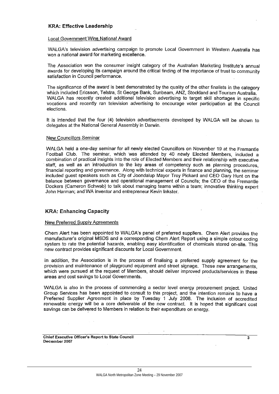# **KRA: Effective Leadership**

# Local Government Wins National Award

WALGA's television advertising campaign to promote Local Government in Western Australia has won a national award for marketing excellence.

The Association won the consumer insight category of the Australian Marketing Institute's annual awards for developing its campaign around the critical finding of the importance of trust to community satisfaction in Council performance.

The significance of the award is best demonstrated by the quality of the other finalists in the category which included Ericsson, Telstra, St George Bank, Sunbeam, ANZ, Stockland and Tourism Australia. WALGA has recently created additional television advertising to target skill shortages in specific vocations and recently ran television advertising to encourage voter participation at the Council elections.

It is intended that the four (4) television advertisements developed by WALGA will be shown to delegates at the National General Assembly in Darwin.

### New Councillors Seminar

WALGA held a one-day seminar for all newly elected Counciliors on November 19 at the Fremantle Football Club. The seminar, which was attended by 40 newly Elected Members, included a combination of practical insights into the role of Elected Members and their relationship with executive staff, as well as an introduction to the key areas of competency such as planning procedures. financial reporting and governance. Along with technical experts in finance and planning, the seminar included guest speakers such as City of Joondalup Mayor Troy Pickard and CEO Gary Hunt on the balance between governance and operational management of Councils; the CEO of the Fremantle Dockers (Cameron Schwab) to talk about managing teams within a team; innovative thinking expert John Harman; and WA inventor and entrepreneur Kevin Inkster.

# **KRA: Enhancing Capacity**

# **New Preferred Supply Agreements**

Chem Alert has been appointed to WALGA's panel of preferred suppliers. Chem Alert provides the manufacturer's original MSDS and a corresponding Chem Alert Report using a simple colour coding system to rate the potential hazards, enabling easy identification of chemicals stored on-site. This new contract provides significant discounts for Local Government.

In addition, the Association is in the process of finalising a preferred supply agreement for the provision and maintenance of playground equipment and street signage. These new arrangements, which were pursued at the request of Members, should deliver improved products/services in these areas and cost savings to Local Governments.

WALGA is also in the process of commencing a sector level energy procurement project. United Group Services has been appointed to consult to this project, and the intention remains to have a Preferred Supplier Agreement in place by Tuesday 1 July 2008. The inclusion of accredited renewable energy will be a core deliverable of the new contract. It is hoped that significant cost savings can be delivered to Members in relation to their expenditure on energy.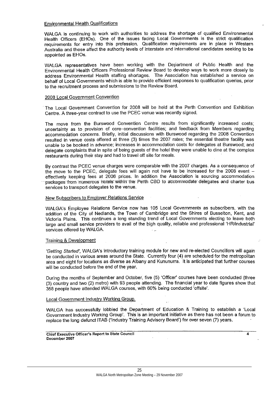### **Environmental Health Qualifications**

WALGA is continuing to work with authorities to address the shortage of qualified Environmental Health Officers (EHOs). One of the issues facing Local Governments is the strict qualification requirements for entry into this profession. Qualification requirements are in place in Western Australia and these affect the authority levels of interstate and international candidates seeking to be appointed as EHOs.

WALGA representatives have been working with the Department of Public Health and the Environmental Health Officers Professional Review Board to develop ways to work more closely to address Environmental Health staffing shortages. The Association has established a service on behalf of Local Governments which is able to provide efficient responses to qualification queries. prior to the recruitment process and submissions to the Review Board.

### 2008 Local Government Convention

The Local Government Convention for 2008 will be held at the Perth Convention and Exhibition Centre. A three-year contract to use the PCEC venue was recently signed.

The move from the Burswood Convention Centre results from significantly increased costs; uncertainty as to provision of core-convention facilities; and feedback from Members regarding accommodation concerns. Briefly, initial discussions with Burswood regarding the 2008 Convention resulted in venue costs offered at three (3) times the 2007 rates; the essential theatre facility was unable to be booked in advance; increases in accommodation costs for delegates at Burswood; and delegate complaints that in spite of being guests of the hotel they were unable to dine at the complex restaurants during their stay and had to travel off site for meals.

By contrast the PCEC venue charges were comparable with the 2007 charges. As a consequence of the move to the PCEC, delegate fees will again not have to be increased for the 2008 event effectively keeping fees at 2006 prices. In addition the Association is sourcing accommodation packages from numerous hotels within the Perth CBD to accommodate delegates and charter bus services to transport delegates to the venue.

# New Subscribers to Employer Relations Service

WALGA's Employee Relations Service now has 105 Local Governments as subscribers, with the addition of the City of Nedlands, the Town of Cambridge and the Shires of Busselton, Kent, and Victoria Plains. This continues a long standing trend of Local Governments electing to leave both large and small service providers to avail of the bigh quality, reliable and professional 'HR/industrial' services offered by WALGA.

# Training & Development

'Getting Started', WALGA's introductory training module for new and re-elected Councillors will again be conducted in various areas around the State. Currently four (4) are scheduled for the metropolitan area and eight for locations as diverse as Albany and Kununurra. It is anticipated that further courses will be conducted before the end of the year.

During the months of September and October, five (5) 'Officer' courses have been conducted (three (3) country and two (2) metro) with 93 people attending. The financial year to date figures show that 358 people have attended WALGA courses, with 60% being conducted 'offsite'.

### Local Government Industry Working Group.

WALGA has successfully lobbied the Department of Education & Training to establish a 'Local Government Industry Working Group'. This is an important initiative as there has not been a forum to replace the long defunct ITAB ('Industry Training Advisory Board') for over seven (7) years.

 $\overline{A}$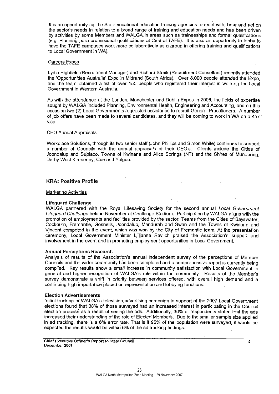It is an opportunity for the State vocational education training agencies to meet with, hear and act on the sector's needs in relation to a broad range of training and education needs and has been driven by activities by some Members and WALGA in areas such as traineeships and formal qualifications (e.g. Planning para professional qualifications at Central TAFE). It is also an opportunity to lobby to have the TAFE campuses work more collaboratively as a group in offering training and qualifications to Local Government in WA).

# **Careers Expos**

Lydia Highfield (Recruitment Manager) and Richard Struik (Recruitment Consultant) recently attended the 'Opportunities Australia' Expo in Midrand (South Africa). Over 8,000 people attended the Expo. and the team obtained a list of over 150 people who registered their interest in working for Local Government in Western Australia.

As with the attendance at the London, Manchester and Dublin Expos in 2006, the fields of expertise sought by WALGA included Planning, Environmental Health, Engineering and Accounting, and on this occasion two (2) Local Governments requested assistance to recruit General Practitioners. A number of job offers have been made to several candidates, and they will be coming to work in WA on a 457 visa.

# **CEO Annual Appraisals-**

Workplace Solutions, through its two senior staff (John Phillips and Simon White) continues to support a number of Councils with the annual appraisals of their CEO's. Clients include the Cities of Joondalup and Subiaco, Towns of Kwinana and Alice Springs (NT) and the Shires of Mundaring, Derby West Kimberley, Cue and Yalgoo.

# **KRA: Positive Profile**

# **Marketing Activities**

### **Lifeguard Challenge**

WALGA partnered with the Royal Lifesaving Society for the second annual Local Government Lifeguard Challenge held in November at Challenge Stadium. Participation by WALGA aligns with the promotion of employments and facilities provided by the sector. Teams from the Cities of Bayswater. Cockburn, Fremantle, Gosnells, Joondalup, Mandurah and Swan and the Towns of Kwinana and Vincent competed in the event, which was won by the City of Fremantle team. At the presentation ceremony. Local Government Minister Lillianna Ravlich praised the Association's support and involvement in the event and in promoting employment opportunities in Local Government.

### **Annual Perceptions Research**

Analysis of results of the Association's annual independent survey of the perceptions of Member Councils and the wider community has been completed and a comprehensive report is currently being compiled. Key results show a small increase in community satisfaction with Local Government in general and higher recognition of WALGA's role within the community. Results of the Member's survey demonstrate a shift in priority between services offered, with overall high demand and a continuing high importance placed on representation and lobbying functions.

### **Election Advertisements**

Initial tracking of WALGA's television advertising campaign in support of the 2007 Local Government elections found that 38% of those surveyed had an increased interest in participating in the Council election process as a result of seeing the ads. Additionally, 30% of respondents stated that the ads increased their understanding of the role of Elected Members. Due to the smaller sample size applied in ad tracking, there is a 6% error rate. That is if 95% of the population were surveyed, it would be expected the results would be within 6% of the ad tracking findings.

Chief Executive Officer's Report to State Council December 2007

5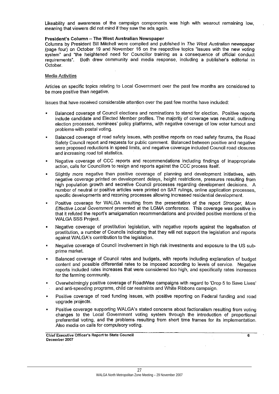Likeability and awareness of the campaign components was high with wearout remaining low. meaning that viewers did not mind if they saw the ads again.

# President's Column - The West Australian Newspaper

Columns by President Bill Mitchell were compiled and published in The West Australian newspaper (page four) on October 19 and November 16 on the respective topics "issues with the new voting system" and "the heightened need for Councillor training as a consequence of official conduct requirements". Both drew community and media response, including a publisher's editorial in October.

# **Media Activities**

Articles on specific topics relating to Local Government over the past few months are considered to be more positive than negative.

Issues that have received considerable attention over the past few months have included:

- Balanced coverage of Council elections and nominations to stand for election. Positive reports include candidate and Elected Member profiles. The majority of coverage was neutral, outlining election processes, nominees' policy platforms, with negative coverage of low voter turnout and problems-with postal voting.
- Balanced coverage of road safety issues, with positive reports on road safety forums, the Road Safety Council report and requests for public comment. Balanced between positive and negative were proposed reductions in speed limits, and negative coverage included Council road closures and increasing road toll statistics.
- Negative coverage of CCC reports and recommendations including findings of inappropriate action, calls for Councillors to resign and reports against the CCC process itself.
- Slightly more negative than positive coverage of planning and development initiatives, with negative coverage printed on development delays, height restrictions, pressures resulting from high population growth and secretive Council processes regarding development decisions. A number of neutral or positive articles were printed on SAT rulings, online application processes, specific developments and rezoning processes allowing increased residential development.
- Positive coverage for WALGA resulting from the presentation of the report Stronger, More Effective Local Government presented at the LGMA conference. This coverage was positive in that it refuted the report's amalgamation recommendations and provided positive mentions of the **WALGA SSS Project.**
- Negative coverage of prostitution legislation, with negative reports against the legalisation of prostitution, a number of Councils indicating that they will not support the legislation and reports against WALGA's contribution to the legislation.
- Negative coverage of Council involvement in high risk investments and exposure to the US subprime market.
- Balanced coverage of Council rates and budgets, with reports including explanation of budget content and possible differential rates to be imposed according to levels of service. Negative reports included rates increases that were considered too high, and specifically rates increases for the farming community.
- Overwhelmingly positive coverage of RoadWise campaigns with regard to 'Drop 5 to Save Lives' and anti-speeding programs, child car restraints and White Ribbons campaign.
- Positive coverage of road funding issues, with positive reporting on Federal funding and road upgrade projects.
- Positive coverage supporting WALGA's stated concerns about factionalism resulting from voting changes to the Local Government voting system through the introduction of proportional preferential voting, and the problems resulting from short time frames for its implementation. Also media on calls for compulsory voting.

 $\overline{\mathbf{6}}$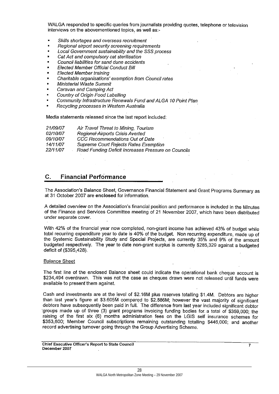WALGA responded to specific queries from journalists providing quotes, telephone or television interviews on the abovementioned topics, as well as:-

- Skills shortages and overseas recruitment
- Regional airport security screening requirements
- Local Government sustainability and the SSS process
- Cat Act and compulsory cat sterilisation
- Council liabilities for sand dune accidents
- Elected Member Official Conduct Bill
- **Elected Member training**
- Charitable organisations' exemption from Council rates
- Ministerial Waste Summit
- Caravan and Camping Act
- Country of Origin Food Labelling
- Community Infrastructure Renewals Fund and ALGA 10 Point Plan
- Recycling processes in Western Australia

Media statements released since the last report included:

| 21/09/07 | Air Travel Threat to Mining, Tourism                |
|----------|-----------------------------------------------------|
| 02/10/07 | Regional-Airports Crisis Averted                    |
| 09/10/07 | CCC Recommendations Out of Date                     |
| 14/11/07 | <b>Supreme Court Rejects Rates Exemption</b>        |
| 22/11/07 | Road Funding Deficit Increases Pressure on Councils |

### **Financial Performance** C.

The Association's Balance Sheet, Governance Financial Statement and Grant Programs Summary as at 31 October 2007 are enclosed for information.

A detailed overview on the Association's financial position and performance is included in the Minutes of the Finance and Services Committee meeting of 21 November 2007, which have been distributed under separate cover.

With 42% of the financial year now completed, non-grant income has achieved 43% of budget while total recurring expenditure year to date is 40% of the budget. Non recurring expenditure, made up of the Systemic Sustainability Study and Special Projects, are currently 35% and 9% of the amount budgeted respectively. The year to date non-grant surplus is currently \$285,329 against a budgeted deficit of (\$395,428).

### **Balance Sheet**

The first line of the enclosed Balance sheet could indicate the operational bank cheque account is \$234,494 overdrawn. This was not the case as cheques drawn were not released until funds were available to present them against.

Cash and investments are at the level of \$2.16M plus reserves totalling \$1.4M. Debtors are higher than last year's figure at \$3.605M compared to \$2.886M; however the vast majority of significant debtors have subsequently been paid in full. The difference from last year included significant debtor groups made up of three (3) grant programs invoicing funding bodies for a total of \$359,000; the raising of the first six (6) months administration fees on the LGIS self insurance schemes for \$353,600; Member Council subscriptions remaining outstanding totalling \$446,000; and another record advertising turnover going through the Group Advertising Scheme.

**Chief Executive Officer's Report to State Council** December 2007

 $\overline{\mathbf{z}}$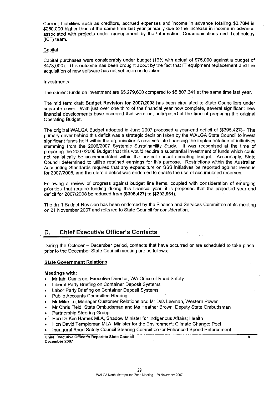Current Liabilities such as creditors, accrued expenses and income in advance totalling \$3.76M is \$250,000 higher than at the same time last year primarily due to the increase in income in advance associated with projects under management by the Information, Communications and Technology (ICT) team.

# Capital

Capital purchases were considerably under budget (16% with actual of \$75,000 against a budget of \$473,000). This outcome has been brought about by the fact that IT equipment replacement and the acquisition of new software has not yet been undertaken.

# Investments

The current funds on investment are \$5,279,600 compared to \$5,807,341 at the same time last year.

The mid term draft Budget Revision for 2007/2008 has been circulated to State Councillors under separate cover. With just over one third of the financial year now complete, several significant new financial developments have occurred that were not anticipated at the time of preparing the original **Operating Budget.** 

The original WALGA Budget adopted in June-2007 proposed a year-end deficit of (\$395,427). The primary driver behind this deficit was a strategic decision taken by the WALGA State Council to invest significant funds held within the organisation's reserves into financing the implementation of initiatives stemming from the 2006/2007 Systemic Sustainability Study. It was recognised at the time of preparing the 2007/2008 Budget that this would require a substantial investment of funds which could not realistically be accommodated within the normal annual operating budget. Accordingly, State Council determined to utilise retained earnings for this purpose. Restrictions within the Australian Accounting Standards required that any expenditure on SSS initiatives be reported against revenue for 2007/2008, and therefore a deficit was endorsed to enable the use of accumulated reserves.

Following a review of progress against budget line items, coupled with consideration of emerging priorities that require funding during this financial year, it is proposed that the projected year-end deficit for 2007/2008 be reduced from (\$395,427) to (\$292,961).

The draft Budget Revision has been endorsed by the Finance and Services Committee at its meeting on 21 November 2007 and referred to State Council for consideration.

### **Chief Executive Officer's Contacts** D.

During the October - December period, contacts that have occurred or are scheduled to take place prior to the December State Council meeting are as follows:

### **State Government Relations**

# Meetings with:

- Mr Iain Cameron, Executive Director, WA Office of Road Safety
- Liberal Party Briefing on Container Deposit Systems  $\bullet$
- Labor Party Briefing on Container Deposit Systems
- **Public Accounts Committee Hearing**
- Mr Mike Lu, Manager Customer Relations and Mr Des Leeman, Western Power
- Mr Chris Field, State Ombudsman and Ms Heather Brown, Deputy State Ombudsman
- Partnership Steering Group
- Hon Dr Kim Hames MLA, Shadow Minister for Indigenous Affairs; Health  $\bullet$
- Hon David Templeman MLA, Minister for the Environment; Climate Change; Peel
- Inaugural Road Safety Council Steering Committee for Enhanced Speed Enforcement

 $\mathbf{R}$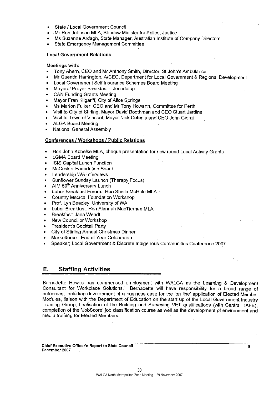- State / Local Government Council
- Mr Rob Johnson MLA, Shadow Minister for Police; Justice
- Ms Suzanne Ardagh, State Manager, Australian Institute of Company Directors
- **State Emergency Management Committee**

# **Local Government Relations**

# Meetings with:

- Tony Ahern, CEO and Mr Anthony Smith, Director, St John's Ambulance  $\bullet$
- Mr Quentin Harrington, A/CEO, Department for Local Government & Regional Development
- Local Government Self Insurance Schemes Board Meeting
- Mayoral Prayer Breakfast Joondalup
- **CAN Funding Grants Meeting**
- Mayor Fran Kilgariff, City of Alice Springs
- Ms Marion Fulker, CEO and Mr Tony Howarth, Committee for Perth
- Visit to City of Stirling, Mayor David Boothman and CEO Stuart Jardine
- Visit to Town of Vincent, Mayor Nick Catania and CEO John Giorgi
- **ALGA Board Meeting**
- National General Assembly

# **Conferences / Workshops / Public Relations**

- Hon John Kobelke MLA, cheque presentation for new round Local Activity Grants
- **LGMA Board Meeting**
- **ISIS Capital Lunch Function**
- McCusker Foundation Board
- Leadership WA Interviews
- Sunflower Sunday Launch (Therapy Focus)
- AIM 50<sup>th</sup> Anniversary Lunch
- Labor Breakfast Forum: Hon Sheila McHale MLA ·
- Country Medical Foundation Workshop
- Prof. Lyn Beazley, University of WA
- Labor Breakfast: Hon Alannah MacTiernan MLA
- Breakfast: Jana Wendt
- New Councillor Workshop
- President's Cocktail Party
- City of Stirling Annual Christmas Dinner
- Marketforce End of Year Celebration
- Speaker; Local Government & Discrete Indigenous Communities Conference 2007

### Е. **Staffing Activities**

Bernadette Howes has commenced employment with WALGA as the Learning & Development Consultant for Workplace Solutions. Bernadette will have responsibility for a broad range of outcomes, including development of a business case for the 'on line' application of Elected Member Modules, liaison with the Department of Education on the start up of the Local Government Industry Training Group, finalisation of the Building and Surveying VET qualifications (with Central TAFE), completion of the 'JobScore' job classification course as well as the development of environment and media training for Elected Members.

9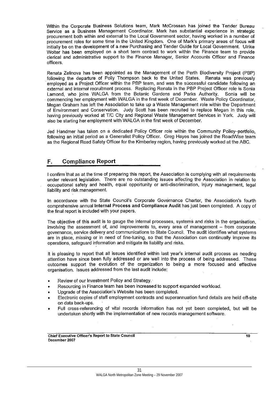Within the Corporate Business Solutions team, Mark McCrossan has joined the Tender Bureau Service as a Business Management Coordinator. Mark has substantial experience in strategic procurement both within and external to the Local Government sector, having worked in a number of procurement roles for some time in the United Kingdom. One of Mark's primary areas of focus will initially be on the development of a new Purchasing and Tender Guide for Local Government. Ulrike Wolter has been employed on a short term contract to work within the Finance team to provide clerical and administrative support to the Finance Manager, Senior Accounts Officer and Finance officers.

Renata Zelinova has been appointed as the Management of the Perth Biodiversity Project (PBP) following the departure of Polly Thompson back to the United States. Renata was previously employed as a Project Officer within the PBP team, and was the successful candidate following an external and internal recruitment process. Replacing Renata in the PBP Project Officer role is Sonia Lamond, who joins WALGA from the Botanic Gardens and Parks Authority. Sonia will be commencing her employment with WALGA in the first week of December. Waste Policy Coordinator, Megan Graham has left the Association to take up a Waste Management role within the Department of Environment and Conservation. Judy Scott has been recruited to replace Megan in this role, having previously worked at T/C City and Regional Waste Management Services in York. Judy will also be starting her employment with WALGA in the first week of December.

Jed Handmer has taken on a dedicated Policy Officer role within the Community Poliey-portfolio. following an initial period as a Generalist Policy Officer. Greg Hayes has joined the RoadWise team as the Regional Road Safety Officer for the Kimberley region, having previously worked at the ABC.

### **Compliance Report** F.

I confirm that as at the time of preparing this report, the Association is complying with all requirements under relevant legislation. There are no outstanding issues affecting the Association in relation to occupational safety and health, equal opportunity or anti-discrimination, injury management, legal liability and risk management.

In accordance with the State Council's Corporate Governance Charter, the Association's fourth comprehensive annual Internal Process and Compliance Audit has just been completed. A copy of the final report is included with your papers.

The objective of this audit is to gauge the internal processes, systems and risks in the organisation, involving the assessment of, and improvements to, every area of management - from corporate governance, service delivery and communications to State Council. The audit identifies what systems are in place, missing or in need of fine-tuning, so that the Association can continually improve its operations, safequard information and mitigate its liability and risks.

It is pleasing to report that all issues identified within last year's internal audit process as needing attention have since been fully addressed or are well into the process of being addressed. These outcomes support the evolution of the organization to being a more focused and effective organisation. Issues addressed from the last audit include:

- Review of our Investment Policy and Strategy.
- Resourcing in Finance team has been increased to support expanded workload.
- Upgrade of the Association's Website has been completed.
- Electronic copies of staff employment contracts and superannuation fund details are held off-site on data back-ups.
- Full cross-referencing of vital records information has not yet been completed, but will be undertaken shortly with the implementation of new records management software.

10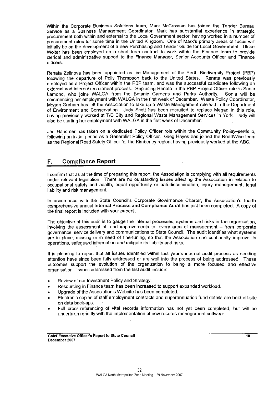Within the Corporate Business Solutions team, Mark McCrossan has joined the Tender Bureau Service as a Business Management Coordinator. Mark has substantial experience in strategic procurement both within and external to the Local Government sector, having worked in a number of procurement roles for some time in the United Kingdom. One of Mark's primary areas of focus will initially be on the development of a new Purchasing and Tender Guide for Local Government. Ulrike Wolter has been employed on a short term contract to work within the Finance team to provide clerical and administrative support to the Finance Manager, Senior Accounts Officer and Finance officers.

Renata Zelinova has been appointed as the Management of the Perth Biodiversity Project (PBP) following the departure of Polly Thompson back to the United States. Renata was previously employed as a Project Officer within the PBP team, and was the successful candidate following an external and internal recruitment process. Replacing Renata in the PBP Project Officer role is Sonia Lamond, who joins WALGA from the Botanic Gardens and Parks Authority. Sonia will be commencing her employment with WALGA in the first week of December. Waste Policy Coordinator, Megan Graham has left the Association to take up a Waste Management role within the Department of Environment and Conservation. Judy Scott has been recruited to replace Megan in this role, having previously worked at T/C City and Regional Waste Management Services in York. Judy will also be starting her employment with WALGA in the first week of December.

Jed Handmer has taken on a dedicated Policy Officer role within the Community Poliey-portfolio. following an initial period as a Generalist Policy Officer. Greg Hayes has joined the RoadWise team as the Regional Road Safety Officer for the Kimberley region, having previously worked at the ABC.

### **Compliance Report** F.

I confirm that as at the time of preparing this report, the Association is complying with all requirements under relevant legislation. There are no outstanding issues affecting the Association in relation to occupational safety and health, equal opportunity or anti-discrimination, injury management, legal liability and risk management.

In accordance with the State Council's Corporate Governance Charter, the Association's fourth comprehensive annual Internal Process and Compliance Audit has just been completed. A copy of the final report is included with your papers.

The objective of this audit is to gauge the internal processes, systems and risks in the organisation, involving the assessment of, and improvements to, every area of management - from corporate governance, service delivery and communications to State Council. The audit identifies what systems are in place, missing or in need of fine-tuning, so that the Association can continually improve its operations, safequard information and mitigate its liability and risks.

It is pleasing to report that all issues identified within last year's internal audit process as needing attention have since been fully addressed or are well into the process of being addressed. These outcomes support the evolution of the organization to being a more focused and effective organisation. Issues addressed from the last audit include:

- Review of our Investment Policy and Strategy.
- Resourcing in Finance team has been increased to support expanded workload.
- Upgrade of the Association's Website has been completed.
- Electronic copies of staff employment contracts and superannuation fund details are held off-site on data back-ups.
- Full cross-referencing of vital records information has not yet been completed, but will be undertaken shortly with the implementation of new records management software.

Chief Executive Officer's Report to State Council December 2007

> 32 WALGA North Metropolitan Zone Meeting - 29 November 2007

10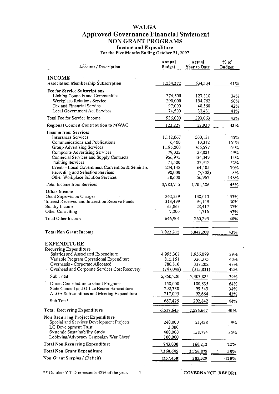# **WALGA**

# **Approved Governance Financial Statement<br>NON GRANT PROGRAMS**

Income and Expenditure<br>For the Five Months Ending October 31, 2007

| <b>Account / Description</b>                                            | Annual<br><b>Budget</b> | Actual<br>Year to Date | $%$ of<br><b>Budget</b> |
|-------------------------------------------------------------------------|-------------------------|------------------------|-------------------------|
| <b>INCOME</b>                                                           |                         |                        |                         |
| <b>Association Membership Subscription</b>                              | 1,534,372               | 634,334                | 41%                     |
| Fee for Service Subscriptions                                           |                         |                        |                         |
| Linking Councils and Communities                                        | 374,500                 | 127,310                | 34%                     |
| Workplace Relations Service                                             | 390,000                 | 194,762                | 50%                     |
| Tax and Financial Service                                               | 97,000                  | 40,560                 | 42%                     |
| Local Government Act Services                                           | 74,500                  | 30,431                 | 41%                     |
| Total Fee for Service Income                                            | 936,000                 | 393,063                | 42%                     |
| Regional Council Contribution to MWAC                                   | 122,227                 | 52,930                 | 43%                     |
| <b>Income from Services</b>                                             |                         |                        |                         |
| <b>Insurances Services</b>                                              | 1,112,067               | 500,131                | 45%                     |
| Communications and Publications<br>Group Advertising Services           | 6,400<br>1,195,000      | 10,312                 | 161%<br>64%             |
| Composite Advertising Services                                          | 79,025                  | 766,597<br>38,821      | 49%                     |
| Comercial Services and Supply Contracts                                 | 956,975                 | 134,349                | 14%                     |
| <b>Training Services</b>                                                | 71,500                  | 37,312                 | 52%                     |
| Events - Local Government Convention & Seminars                         | 234,148                 | 164,405                | 70%                     |
| Recruiting and Selection Services                                       | 90,000                  | (7,308)                | $-8%$                   |
| Other Workplace Solution Services                                       | 38,600                  | 56,967                 | 148%                    |
| Total Income from Services                                              | 3,783,715               | 1,701,586              | 45%                     |
| Other Income                                                            |                         |                        |                         |
| Grant Supervision Charges                                               | 262,539                 | 138,013                | 53%                     |
| Interest Received and Interest on Reserve Funds                         | 313,499                 | 94,149                 | 30%                     |
| Sundry Income                                                           | 63,863                  | 23,417                 | 37%                     |
| Other Consulting                                                        | 7,000                   | 4,716                  | 67%                     |
| Total Other Income                                                      | 646,901                 | 260,295                | 40%                     |
| <b>Total Non Grant Income</b>                                           | 7,023,215               | 3,042,208              | 43%                     |
| <b>EXPENDITURE</b>                                                      |                         |                        |                         |
| <b>Recurring Expenditure</b>                                            |                         |                        |                         |
| Salaries and Associated Expenditure                                     | 4,995,307               | 1,956,079              | 39%                     |
| Variable Program Operational Expenditure                                | 815,151                 | 326,375                | 40%.                    |
| Overheads - Corporate Allocated                                         | 786,810                 | 337,202                | 43%                     |
| Overhead and Corporate Services Cost Recovery                           | (747, 048)              | (315, 831)             | 42%                     |
| Sub Total                                                               | 5,850,220               | 2,303,825              | 39%                     |
| Direct Contribution to Grant Programs                                   | 158,000                 | 100,835                | 64%                     |
| State Council and Office Bearer Expenditure                             | 292,330                 | 99,343                 | 34%                     |
| ALGA Subscriptions and Meeting Expenditure                              | 217,095                 | 92,664                 | 43%                     |
| Sub Total                                                               | 667,425                 | 292,842                | 44%                     |
| <b>Total Recurring Expenditure</b>                                      | 6,517,645               | 2,596,667              | 40%                     |
| Non Recurring Project Expenditure                                       |                         |                        |                         |
| Special and Services Development Projects                               | 240,000                 | 21,438                 | 9%                      |
| LG Development Trust                                                    | 3,000                   |                        |                         |
| Systemic Sustainability Study<br>Lobbying/Advocacy Campaign 'War Chest' | 400,000<br>100,000      | 138,774                | 35%                     |
| <b>Total Non Recurring Expenditure</b>                                  | 743,000                 | 160,212                | 22%                     |
| <b>Total Non Grant Expenditure</b>                                      | 7,260,645               | 2,756,879              | 38%                     |
| Non Grant Surplus / (Deficit)                                           |                         |                        |                         |
|                                                                         | (237, 430)              | 285,329                | $-120%$                 |

\*\* October Y T D represents 42% of the year. 1 GOVERNANCE REPORT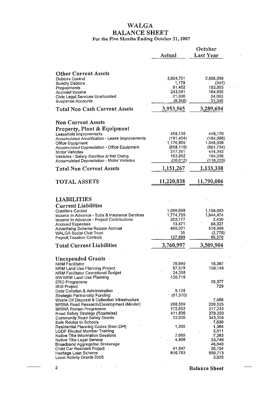# **WALGA BALANCE SHEET**<br>For the Five Months Ending October 31, 2007

 $\overline{\phantom{a}}$ 

 $\mathcal{L}_{\mathcal{A}}$ 

|                                                                                            |                       | October               |
|--------------------------------------------------------------------------------------------|-----------------------|-----------------------|
|                                                                                            | Actual                | Last Year             |
|                                                                                            |                       |                       |
| <b>Other Current Assets</b>                                                                |                       |                       |
| Debtors Control                                                                            | 3,604,701             | 2,886,088             |
| <b>Sundry Debtors</b><br>Prepayments                                                       | 1,179<br>91,452       | (341)<br>183,853      |
| Accrued Income -                                                                           | 243,081               | 164,692               |
| Civic Legal Services Unallocated<br><b>Suspense Accounts</b>                               | 21,500<br>(8,348)     | 24,053<br>31,349      |
| <b>Total Non Cash Current Assets</b>                                                       | 3,953,565             | 3,289,694             |
|                                                                                            |                       |                       |
| <b>Non Current Assets</b>                                                                  |                       |                       |
| <b>Property, Plant &amp; Equipment</b><br>Leasehold Improvements                           | 459,130               | 449,170               |
| Accumulated Amortisation - Lease Improvements                                              | (191, 404)            | (164, 966)            |
| Office Equipment                                                                           | 1,176,960             | 1,048,659             |
| Accumulated Depreciation - Office Equipment<br>Motor Vehicles                              | (658, 110)<br>217,351 | (601, 754)<br>414,393 |
| Vehicles - Salary Sacrifice at Net Owing                                                   | 183,952               | 104,056               |
| Accumulated Depreciation - Motor Vehicles                                                  | (36, 612)             | (116, 220)            |
| <b>Total Non Current Assets</b>                                                            | 1,151,267             | 1,133,338             |
| <b>TOTAL ASSETS</b>                                                                        | 11,220,838            | 11,790,006            |
| <b>LIABILITIES</b>                                                                         |                       |                       |
| <b>Current Liabilities</b>                                                                 |                       |                       |
| <b>Creditors Control</b>                                                                   | 1,086,669             | 1,158,883             |
| Income In Advance - Subs & Insurance Services<br>Income In Advance - Project Contributions | 1,774,755<br>263,177  | 1,644,474<br>2,430    |
| <b>Accrued Expenses</b>                                                                    | 13,471                | 88,327                |
| Advertising Scheme Rebate Accrual                                                          | 495,021               | 518,998               |
| <b>WALGA Social Club Trust</b><br>Payroll, Taxation Controls                               | 35<br>127,869         | (2,778)<br>99,570     |
| <b>Total Current Liabilities</b>                                                           | 3,760,997             | 3,509,904             |
|                                                                                            |                       |                       |
| <b>Unexpended Grants</b>                                                                   |                       |                       |
| <b>NRM Facilitator</b>                                                                     | 76,640                | 18,367                |
| NRM Land Use Planning Project<br>NRM Facilitator Operational Budget                        | 97,578<br>24,358      | 159,148               |
| SW NRM Land Use Planning                                                                   | 130,716               |                       |
| ERO Programme                                                                              |                       | 26,977                |
| <b>IRIS Project</b><br>Data Collation & Administration                                     | 9.128                 | 729                   |
| Strategic Partnership Funding                                                              | (51, 370)             |                       |
| Waste Oil Disposal & Collection Infrastructure                                             |                       | 7,468                 |
| MRWA Road Research/Development (Minder)                                                    | 288,569               | 238,525               |
| MRWA Roman Programme<br>Road Safety Strategy (Roadwise)                                    | 172,652<br>411,836    | 217,233<br>379,320    |
| Community Road Safety Grants                                                               | 22,005                | 343,305               |
| Safe Routes to Schools                                                                     |                       | .7,630                |
| Residential Planning Codes (from DPI)<br><b>LGDF Elected Member Training</b>               | 1,365                 | 1,365<br>3,611        |
| Native Title Information Sessions                                                          | 7,685                 | 7,263                 |
| Native Title Legal Service                                                                 | 4,496                 | 33,748                |
| Broadband Aggregation Brokerage                                                            |                       | 48,640                |
| Child Car Restraint Project<br>Heritage Loan Scheme                                        | 41,947<br>610,783     | 26,124<br>550,713     |
| Local Activity Grants 2006                                                                 |                       | 3,625                 |

 $\ddot{\phantom{a}}$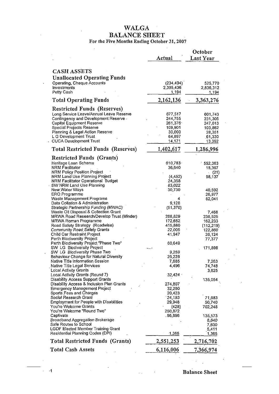# **WALGA BALANCE SHEET**<br>For the Five Months Ending October 31, 2007

 $\sim$   $\sim$ 

 $\mathbb{R}^2$ 

|                                                                      | Actual            | October<br>Last Year |
|----------------------------------------------------------------------|-------------------|----------------------|
|                                                                      |                   |                      |
| <b>CASH ASSETS</b>                                                   |                   |                      |
| <b>Unallocated Operating Funds</b>                                   |                   |                      |
| Operating, Cheque Accounts                                           | (234, 494)        | 525,770              |
| Investments                                                          | 2,395,436         | 2,836,312            |
| Petty Cash                                                           | <u>1,194</u>      | 1,194                |
| <b>Total Operating Funds</b>                                         | 2,162,136         | 3,363,276            |
| <b>Restricted Funds (Reserves)</b>                                   |                   |                      |
| Long Service Leave/Annual Leave Reserve                              | 677,517           | 601,743              |
| Contingency and Development Reserve                                  | 244,755           | 231,305              |
| Capital Equipment Reserve                                            | 261,376           | 247,013              |
| Special Projects Reserve                                             | 109,901           | 103,862              |
| Planning & Legal Action Reserve                                      | 30,000            | 28,351               |
| L G Development Trust                                                | 64,897            | 61,330               |
| <b>CUCA Development Trust</b>                                        | 14,171            | 13,392               |
| <b>Total Restricted Funds (Reserves)</b>                             | 1,402,617         | 1,286,996            |
| <b>Restricted Funds (Grants)</b>                                     |                   |                      |
| Heritage Loan Scheme                                                 | 610,783           | 552,363              |
| <b>NRM Facilitator</b>                                               | 36,640            | 18,367               |
| NRM Policy Position Project                                          |                   | (21)                 |
| NRM Land Use Planning Project                                        | (4, 452)          | 98,137               |
| NRM Facilitator Operational Budget                                   | 24,358            |                      |
| SW NRM Land Use Planning                                             | 83,022            |                      |
| New Water Ways<br>ERO Programme                                      | 30,730            | 40,592<br>26,977     |
| Waste Management Programs                                            | 4                 | 82,041               |
| Data Collation & Administration                                      | 9,128             |                      |
| Strategic Partnership Funding (MWAC)                                 | (51, 370)         |                      |
| Waste Oil Disposal & Collection Grant                                |                   | 7,468                |
| MRWA Road Research/Develop Trust (Minder)                            | 288,829           | 238,525              |
| MRWA Roman Programme                                                 | 172,652           | 162,233              |
| Road Safety Strategy (Roadwise)                                      | 415,880           | (112, 219)           |
| <b>Community Road Safety Grants</b>                                  | 22,005            | 122,860              |
| Child Car Restraint Project                                          | 41,947            | 26,124               |
| Perth Biodiversity Project<br>Perth Biodiversity Project "Phase Two" | 60,649            | 77,377               |
| SW LG Biodiversity Project                                           |                   | 171,898              |
| SW LG Biodiversity Phase Two                                         | 9,259             |                      |
| Behaviour Change for Natural Diversity                               | 26,228            |                      |
| Native Title Information Session                                     | 7,685             | 7,263                |
| Native Title Legal Services                                          | 4,496             | 74,748               |
| <b>Local Activity Grants</b>                                         |                   | 3,625                |
| Local Activity Grants (Round 7)                                      | 32,424            |                      |
| <b>Disability Access Support Grants</b>                              |                   | 135,054              |
| Disability Access & Inclusion Plan Grants                            | 274,807           |                      |
| Emergency Management Project                                         | 32,280            |                      |
| Sports Fees and Charges                                              | 20,423            |                      |
| Social Research Grant                                                | 24,193            | 71,683               |
| Employment for People with Disabilities                              | 29,948            | 50,740               |
| You're Welcome Grants<br>You're Welcome "Round Two"                  | (428)<br>250,872  | 702,248              |
| Captivate                                                            | . 96,896          | 135,573              |
| Broadband Aggregation Brokerage                                      |                   | 8,640                |
| Safe Routes to School                                                |                   | 7,630                |
| LGDF Elected Member Training Grant                                   |                   | 5,411                |
| Residential Planning Codes (DPI)                                     | 1,365             | 1,365                |
| <b>Total Restricted Funds (Grants)</b>                               | <u>2,551,25</u> 3 | 2,716,702            |
| <b>Total Cash Assets</b>                                             | 6,116,006         | 7,366,974            |

**Balance Sheet** 

 $\frac{1}{2}$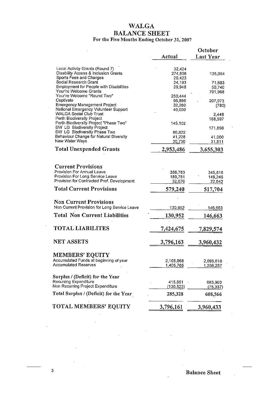# **WALGA** BALANCE SHEET<br>For the Five Months Ending October 31, 2007

|                                                                                                    | Actual                      | October<br>Last Year |
|----------------------------------------------------------------------------------------------------|-----------------------------|----------------------|
|                                                                                                    |                             |                      |
| Local Activity Grants (Round 7)<br>Disability Access & Inclusion Grants<br>Sports Fees and Charges | 32,424<br>274,808<br>20,423 | 135,054              |
| Social Research Grant                                                                              | 24,193                      | 71,683               |
| Employment for People with Disabilities                                                            | 29,948                      | 50,740               |
| Your're Welcome Grants<br>Your're Welcome "Round Two"                                              | 250,444                     | 701,988              |
| Captivate                                                                                          | 96,896                      | 207,073              |
| <b>Emergency Management Project</b>                                                                | 32,280                      | (780)                |
| National Emergency Volunteer Support                                                               | 40,000                      |                      |
| <b>WALGA Social Club Trust</b><br>Perth Biodiversity Project                                       |                             | 2,448                |
| Perth Biodiversity Project "Phase Two"                                                             | 145,102                     | 168,597              |
| SW LG Biodiversity Project                                                                         |                             | 171,898              |
| SW LG Biodiversity Phase Two                                                                       | 86,622                      |                      |
| Behaviour Change for Natural Diversity<br>New Water Ways                                           | 41,228                      | 41,000               |
|                                                                                                    | 30,730                      | 31,811               |
| <b>Total Unexpended Grants</b>                                                                     | 2,953,486                   | 3,655,303            |
|                                                                                                    |                             |                      |
| <b>Current Provisions</b>                                                                          |                             |                      |
| Provision For Annual Leave<br>Provision For Long Service Leave                                     | 356,783                     | 345,816              |
| Provision for Contracted Prof. Development                                                         | 189,781<br>32,676           | 149,246<br>22,642    |
| <b>Total Current Provisions</b>                                                                    | 579,240                     | 517,704              |
|                                                                                                    |                             |                      |
| <b>Non Current Provisions</b>                                                                      |                             |                      |
| Non Current Provision for Long Service Leave                                                       | 130,952                     | 146,663              |
| <b>Total Non Current Liabilities</b>                                                               | 130,952                     | 146,663              |
| <b>TOTAL LIABILITES</b>                                                                            |                             |                      |
|                                                                                                    | 7,424,675                   | 7,829,574            |
| <b>NET ASSETS</b>                                                                                  | 3,796,163                   | 3,960,432            |
|                                                                                                    |                             |                      |
| <b>MEMBERS' EQUITY</b>                                                                             |                             |                      |
| Accumulated Funds at beginning of year<br><b>Accumulated Reserves</b>                              | 2,105,068                   | 2,095,610            |
|                                                                                                    | 1,405,765                   | 1,256,257            |
| Surplus / (Deficit) for the Year                                                                   |                             |                      |
| Recurring Expenditure                                                                              | 415.851                     | 683,903              |
| Non Recurring Project Expenditure                                                                  | (130, 523)                  | <u>(75,337)</u>      |
| Total Surplus / (Deficit) for the Year                                                             | 285,328                     | 608,566              |
| TOTAL MEMBERS' EQUITY                                                                              |                             |                      |
|                                                                                                    | 3,796,161                   | 3,960,433            |

 $\mathbf{r}$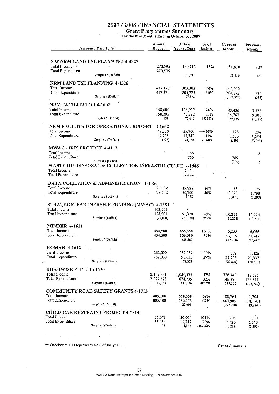# 2007 / 2008 FINANCIAL STATEMENTS.

Grant Programmes Summary<br>For the Five Months Ending October 31, 2007

 $\ddot{\phantom{1}}$ 

|                                     | Account / Description                                                        | Annual<br><b>Budget</b> | Actual<br>Year to Date | % of<br><b>Budget</b> | Current<br>Month      | Previous<br>Month   |
|-------------------------------------|------------------------------------------------------------------------------|-------------------------|------------------------|-----------------------|-----------------------|---------------------|
|                                     | S W NRM LAND USE PLANNING 4-4325                                             |                         |                        |                       |                       |                     |
| Total Income<br>Total Expenditure   |                                                                              | 270,595                 | 130,716                | 48%                   | 81,610                | 327                 |
|                                     | Surplus / (Deficit)                                                          | 270,595                 | 130,716                |                       | 81,610                | 327                 |
|                                     | NRM LAND USE PLANNING 4-4326                                                 |                         |                        |                       |                       |                     |
| Total Income.                       |                                                                              | 412,120                 | 303,303                | 74%                   | 102,030               |                     |
| Total Expenditure                   | Surplus / (Deficit)                                                          | 412,120                 | 205,725<br>97,578      | 50%                   | 204,393<br>(102, 363) | 333<br>(333)        |
| NRM FACILITATOR 4-1602              |                                                                              |                         |                        |                       |                       |                     |
| Total Income                        |                                                                              | 158,600                 | 116,932                | 74%                   | 43,436                | 3,573               |
| Total Expenditure                   |                                                                              | 158,202                 | 40,292                 | 25%                   | 14,261                | 9,305               |
|                                     | Surplus / (Deficit)                                                          | 398                     | 76,640                 | 19256%                | 29,175                | (5, 731)            |
|                                     | NRM FACILITATOR OPERATIONAL BUDGET                                           | 4-1662                  |                        |                       |                       |                     |
| Total Income<br>Total Expenditure   |                                                                              | 49,000<br>49,725        | $-39,700$<br>15,342    | -8-1-%<br>31%         | 128<br>3,530          | 206                 |
|                                     | Surplus / (Deficit)                                                          | (725)                   | 24,358                 | -3360%                | (3, 402)              | 3,254<br>(3,047)    |
| MWAC - IRIS PROJECT 4-4113          |                                                                              |                         |                        |                       |                       |                     |
| Total Income                        |                                                                              |                         | 765                    |                       |                       | 5                   |
| Total Expenditure                   |                                                                              |                         | 765                    |                       | 765                   |                     |
|                                     | Surplus / (Deficit)<br>WASTE OIL DISPOSAL & COLLECTION INFRASTRUCTURE 4-1646 |                         |                        |                       | (765)                 | 5                   |
| Total Income                        |                                                                              |                         | 7,424                  |                       |                       |                     |
| Total Expenditure                   |                                                                              |                         | 7,424                  |                       |                       |                     |
|                                     | DATA COLLATION & ADMINISTRATION 4-1650                                       |                         |                        |                       |                       |                     |
| Total Income                        |                                                                              | 23,102                  | 19,828                 | 86%                   | 58                    | 96                  |
| Total Expenditure                   | Surplus / (Deficit)                                                          | 23,102                  | 10,700<br>9,128        | 46%                   | 3,528<br>(3, 470)     | 1,793<br>(1,697)    |
|                                     | STRATEGIC PARTNERSHIP FUNDING (MWAC) 4-1651                                  |                         |                        |                       |                       |                     |
| Total Income                        |                                                                              | 103,901                 |                        |                       |                       |                     |
| Total Expenditure                   |                                                                              | 128,901                 | 51,370                 | 40%                   | 10,274                | 10,274              |
|                                     | Surplus / (Deficit)                                                          | (25,000)                | (51, 370)              | 205%                  | (10, 274)             | (10, 274)           |
| <b>MINDER 4-1611</b>                |                                                                              |                         |                        |                       |                       |                     |
| Total Income                        |                                                                              | 454,500                 | 455,558                | 100%                  | 5,255                 | 6,066               |
| Total Expenditure                   | Surplus / (Deficit)                                                          | 454,500                 | 166,989<br>288,569     | 37%                   | 43,115<br>(37, 860)   | 27,747<br>(21, 681) |
|                                     |                                                                              |                         |                        |                       |                       |                     |
| <b>ROMAN 4-1612</b><br>Total Income |                                                                              | 262,000                 | 269,287                | 103%                  | 892                   | 1,426               |
| Total Expenditure                   |                                                                              | 262,000                 | 96,635                 | 37%                   | 21,713                | 21,937              |
|                                     | Surplus / (Deficit)                                                          |                         | 172,652                |                       | (20, 821)             | (20, 511)           |
| ROADWISE 4-1613 to 1630             |                                                                              |                         |                        |                       |                       |                     |
| Total Income                        |                                                                              | 2,107,831               | 1,086,575              | 52%                   | 326,440               | 12,528              |
| Total Expenditure                   | Surplus / (Deficit)                                                          | 2,097,678<br>10,153     | 674,739<br>411,836     | 32%<br>4056%          | 148,890               | 129,311             |
|                                     |                                                                              |                         |                        |                       | 177,550               | (116, 782)          |
| Total Income                        | COMMUNITY ROAD SAFETY GRANTS 4-1713                                          |                         |                        |                       |                       |                     |
| Total Expenditure                   |                                                                              | 805,100<br>805,100      | 558,658<br>536,653     | 69%<br>67%            | 188,764<br>440,985    | 1,704<br>(18, 170)  |
|                                     | Surplus / (Deficit)                                                          |                         | 22,005                 |                       | (252, 220)            | 19,874              |
|                                     |                                                                              |                         |                        |                       |                       |                     |
|                                     | CHILD CAR RESTRAINT PROJECT 4-1814                                           |                         |                        |                       |                       |                     |
| Total Income                        |                                                                              | 56,071                  | 56,664                 | 101%                  | 208                   | 320                 |
| Total Expenditure                   | Surplus / (Deficit)                                                          | 56,054<br>17            | 14,717<br>41,947       | 26%<br>246746%        | 3,420<br>(3,211)      | 2,916<br>(2, 596)   |

\*\* October Y T D represents 42% of the year.

 $\ddotsc$ 

Grant Summarv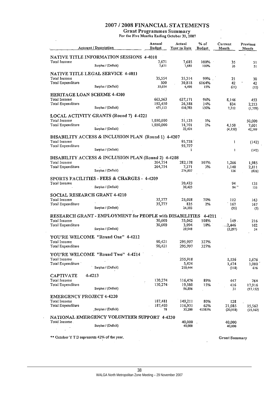# 2007 / 2008 FINANCIAL STATEMENTS

 $\overline{a}$ 

Grant Programmes Summary<br>For the Five Months Ending October 31, 2007

|                                              | <b>Account / Description</b>                             | Annual<br><b>Budget</b> | Actual<br>Year to Date | % of<br><b>Budget</b> | Current<br>Month     | Previous<br>Month |
|----------------------------------------------|----------------------------------------------------------|-------------------------|------------------------|-----------------------|----------------------|-------------------|
|                                              | NATIVE TITLE INFORMATION SESSIONS 4-4010                 |                         |                        |                       |                      |                   |
| Total Income                                 | Surplus / (Deficit)                                      | 7,671<br>7,671          | 7.685<br>7,685         | $100\%$<br>100%       | 35<br>35             | 51<br>51          |
|                                              | NATIVE TITLE LEGAL SERVICE 4-4011                        |                         |                        |                       |                      |                   |
| Total Income                                 |                                                          | 35,554                  | 35,314                 | 99%.                  | 21                   | 30                |
| Total Expenditure                            | Surplus / (Deficit)                                      | 500<br>35,054           | 30,818<br>4,496        | 6164%<br>13%          | 42<br>(21)           | 42<br>(12)        |
| <b>HERITAGE LOAN SCHEME 4-4200</b>           |                                                          |                         |                        |                       |                      |                   |
| Total Income<br>Total Expenditure            |                                                          | 663,563                 | 637,171                | 96%                   | 8,146                | 453               |
|                                              | Surplus / (Deficit)                                      | 192,450<br>471,113      | 26,388<br>610,783      | 14%<br>130%           | 834<br>7,312         | 2,213<br>(1,759)  |
|                                              | LOCAL ACTIVITY GRANTS (Round 7) 4-4221                   |                         |                        |                       |                      |                   |
| Total Income<br>Total Expenditure            |                                                          | 1,030,000               | 51,125                 | 5%                    |                      | 50,000            |
|                                              | Surplus / (Deficit)                                      | 1,030,000               | 18,701<br>32,424       | 2%                    | 4,150<br>(4,150)     | 7,601<br>42,399   |
|                                              | DISABILITY ACCESS & INCLUSION PLAN (Round 1) 4-4207      |                         |                        |                       |                      |                   |
| Total Income                                 |                                                          |                         | 95,728                 |                       | Ţ                    | (142)             |
| Total Expenditure                            | Surplus / (Deficit)                                      |                         | 95,727<br>1            |                       | <sup>1</sup>         | (142)             |
|                                              | DISABILITY ACCESS & INCLUSION PLAN (Round 2) 4-4208      |                         |                        |                       |                      |                   |
| Total Income                                 |                                                          | 264,754                 | 282,178                | 107%                  | 1,266                | 1,985             |
| Total Expenditure                            |                                                          | 264,754                 | 7,371                  | 3%                    | 1,140                | 2,811             |
|                                              | Surplus / (Deficit)                                      |                         | 274,807                |                       | 126                  | (826)             |
|                                              | SPORTS FACILITIES - FEES & CHARGES - 4-4209              |                         |                        |                       |                      |                   |
| Total Income                                 | Surplus / (Deficit)                                      |                         | 20,423<br>20,423       |                       | 94<br>$94 -$         | 135<br>135        |
| <b>SOCIAL RESEARCH GRANT 4-4210</b>          |                                                          |                         |                        |                       |                      |                   |
| Total Income<br>Total Expenditure            |                                                          | 35,777                  | 25,028                 | 70%                   | 112                  | 163               |
|                                              | Surplus / (Deficit)                                      | 35,777                  | 835<br>24,193          | 2%                    | 167<br>(55)          | 167<br>(5)        |
|                                              | RESEARCH GRANT - EMPLOYMENT for PEOPLE with DISABILITIES |                         |                        | 4-4211                |                      |                   |
| Total Income                                 |                                                          | 30,600                  | 33,042                 | 108%                  | 149.                 | 216               |
| Total Expenditure                            | Surplus / (Deficit)                                      | 30,600                  | 3,094                  | 10%                   | $-2,446$             | 162               |
|                                              |                                                          |                         | 29,948                 |                       | (2, 297)             | 54                |
| Total Income                                 | YOU'RE WELCOME "Round One" 4-4212                        | 90,421                  | 295,997                | 327%                  |                      |                   |
| Total Expenditure                            |                                                          | 90,421                  | 295,997                | 327%                  |                      |                   |
|                                              | YOU'RE WELCOME "Round Two" 4-4214                        |                         |                        |                       |                      |                   |
| Total Income                                 |                                                          |                         | 255,918                |                       | 1,156                | 1,676             |
| Total Expenditure 1                          | Surplus / (Deficit)                                      |                         | 5,474<br>250,444       |                       | 1,474<br>(318)       | 1,000<br>676      |
| <b>CAPTIVATE</b>                             | 4-4213                                                   |                         |                        |                       |                      |                   |
| Total Income                                 |                                                          | 130,274                 | 116,476                | 89%                   | 447                  | 764               |
| Total Expenditure                            | Surplus / (Deficit)                                      | 130,274                 | 19,580<br>96,896       | 15%                   | 416                  | 17,916            |
|                                              |                                                          |                         |                        |                       | 31                   | (17, 152)         |
| <b>EMERGENCY PROJECT 4-4220</b>              |                                                          |                         |                        |                       |                      |                   |
| Total Income<br>Total Expenditure            |                                                          | 187,481<br>187,403      | 149,211<br>116,931     | 80%<br>62%            | 128<br>21,085        | 15,562            |
|                                              | Surplus / (Deficit)                                      | 78                      | 32,280                 | 41385%                | (20,958)             | (15, 562)         |
|                                              | NATIONAL EMERGENCY VOLUNTEER SUPPORT 4-4230              |                         |                        |                       |                      |                   |
| Total Income.                                | Surplus / (Deficit)                                      |                         | 40,000<br>40,000       |                       | 40,000<br>40,000     |                   |
|                                              |                                                          |                         |                        |                       |                      |                   |
| ** October Y T D represents 42% of the year. |                                                          |                         |                        |                       | <b>Grant Summary</b> |                   |

 $\ddot{\phantom{a}}$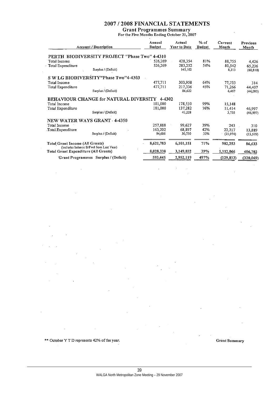# 2007 / 2008 FINANCIAL STATEMENTS

Grant Programmes Summary<br>For the Five Months Ending October 31, 2007

| <b>Account / Description</b>                                                                                              |                                               | Annual<br><b>Budget</b> | Actual<br>Year to Date | % of<br><b>Budget</b> | Current<br>Month | <b>Previous</b><br>Month |
|---------------------------------------------------------------------------------------------------------------------------|-----------------------------------------------|-------------------------|------------------------|-----------------------|------------------|--------------------------|
|                                                                                                                           | PERTH BIODIVERSITY PROJECT "Phase Two" 4-4310 |                         |                        |                       |                  |                          |
| Total Income                                                                                                              |                                               | 526,269                 | 428,354                | 81%                   | 88,755           | 4,426                    |
| Total Expenditure                                                                                                         |                                               | 526,269                 | 283,252                | 54%                   | 80,542           | 65,236                   |
|                                                                                                                           | Surplus / (Deficit)                           |                         | 145,102                |                       | 8,213            | (60, 810)                |
|                                                                                                                           | S W LG BIODIVERSITY"Phase Two"4-4303          |                         |                        |                       |                  |                          |
| Total Income                                                                                                              |                                               | 477,711                 | 303,958                | 64%                   | 77,733           | 314                      |
| Total Expenditure                                                                                                         |                                               | 477,711                 | 217,336                | 45%                   | 71,266           | 44,407                   |
|                                                                                                                           | Surplus / (Deficit)                           |                         | 86,622                 |                       | 6,467            | (44, 093)                |
|                                                                                                                           | BEHAVIOUR CHANGE for NATURAL DIVERSITY        | 4-4302                  |                        |                       |                  |                          |
| Total Income                                                                                                              |                                               | 181,000                 | 178,510                | 99%                   | 15,148           |                          |
| Total Expenditure                                                                                                         |                                               | 181,000                 | 137,282                | 76%                   | 11,414           | 46,997                   |
|                                                                                                                           | Surplus / (Deficit)                           |                         | 41,228                 |                       | 3,735            | (46,997)                 |
|                                                                                                                           | NEW WATER WAYS GRANT 4-4350                   |                         |                        |                       |                  |                          |
| Total Income                                                                                                              |                                               | 257,888                 | 99,627                 | 39%                   | 243              | 310                      |
| Total Expenditure                                                                                                         |                                               | 163,202                 | 68,897                 | 42%                   | 22,217           | 13,889                   |
|                                                                                                                           | Surplus / (Deficit)                           | 94,686                  | 30,730                 | 32%                   | (21, 974)        | (13, 579)                |
| <b>Total Grant Income (All Grants)</b><br>(includes balance B/Fwd from Last Year)<br>Total Grant Expenditure (All Grants) |                                               | 8,621,783               | 6,101,151              | 71%                   | 982,253          | 86,633                   |
|                                                                                                                           |                                               | 8,028,338               | 3,149,032              | 39%                   | 1,112,066        | 406,702                  |
|                                                                                                                           | Grant Programmes Surplus / (Deficit)          | 593,445                 | 2,952,119              | 497%                  | (129, 813)       | (320, 069)               |
|                                                                                                                           |                                               |                         |                        |                       |                  |                          |

\*\* October Y T D represents 42% of the year.

**Grant Summary**